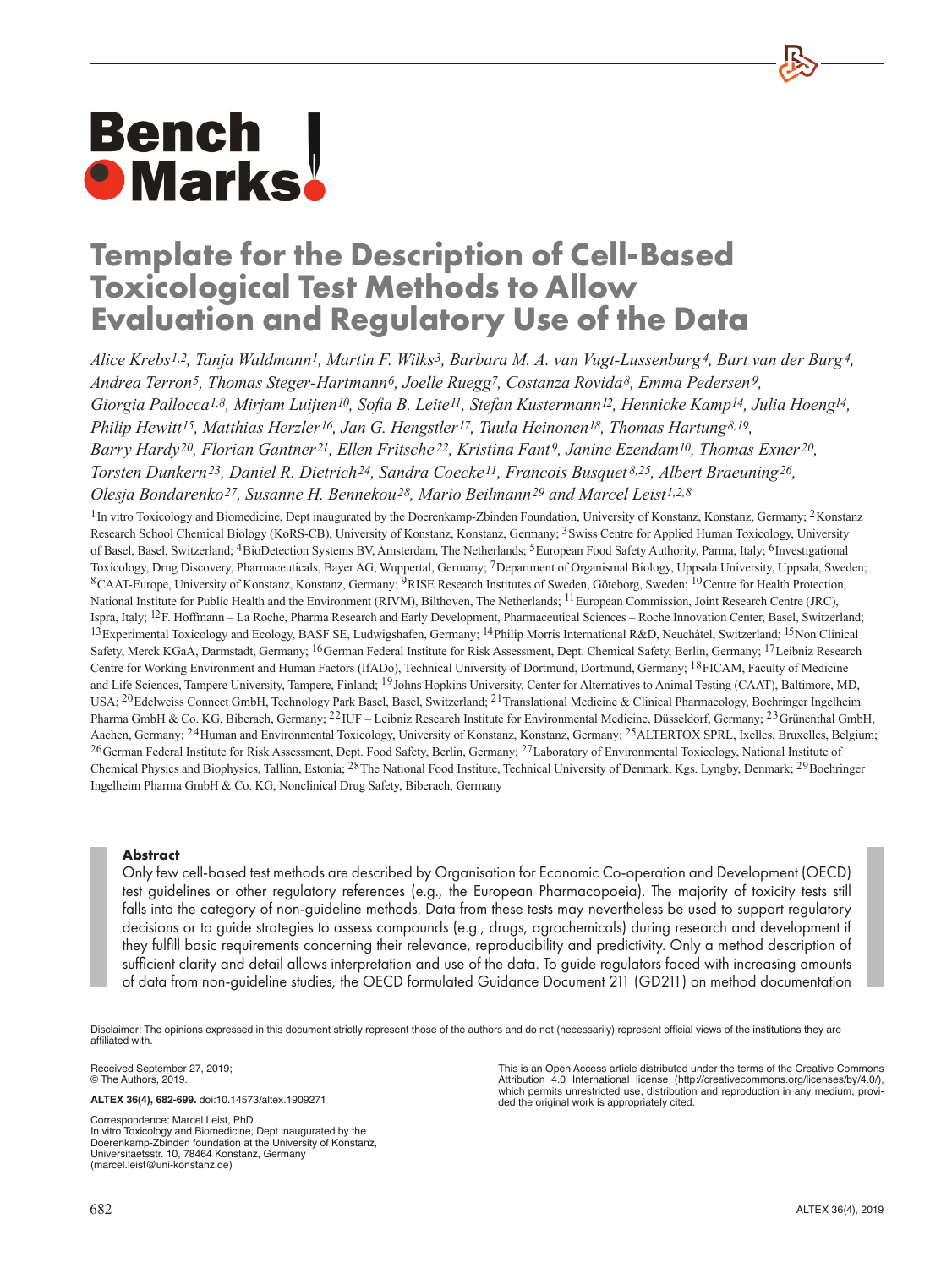# **Bench<br>• Marks**

# **Template for the Description of Cell-Based Toxicological Test Methods to Allow Evaluation and Regulatory Use of the Data**

*Alice Krebs1,2, Tanja Waldmann1, Martin F. Wilks3, Barbara M. A. van Vugt-Lussenburg4, Bart van der Burg4, Andrea Terron5, Thomas Steger-Hartmann6, Joelle Ruegg7, Costanza Rovida8, Emma Pedersen9, Giorgia Pallocca1,8, Mirjam Luijten10, Sofia B. Leite11, Stefan Kustermann12, Hennicke Kamp14, Julia Hoeng14, Philip Hewitt15, Matthias Herzler16, Jan G. Hengstler17, Tuula Heinonen18, Thomas Hartung8,19, Barry Hardy20, Florian Gantner21, Ellen Fritsche 22, Kristina Fant9, Janine Ezendam10, Thomas Exner20, Torsten Dunkern23, Daniel R. Dietrich24, Sandra Coecke11, Francois Busquet 8,25, Albert Braeuning26, Olesja Bondarenko27, Susanne H. Bennekou28, Mario Beilmann29 and Marcel Leist1,2,8*

<sup>1</sup>In vitro Toxicology and Biomedicine, Dept inaugurated by the Doerenkamp-Zbinden Foundation, University of Konstanz, Konstanz, Germany; <sup>2</sup>Konstanz Research School Chemical Biology (KoRS-CB), University of Konstanz, Konstanz, Germany; 3Swiss Centre for Applied Human Toxicology, University of Basel, Basel, Switzerland; 4BioDetection Systems BV, Amsterdam, The Netherlands; 5European Food Safety Authority, Parma, Italy; 6Investigational Toxicology, Drug Discovery, Pharmaceuticals, Bayer AG, Wuppertal, Germany; 7Department of Organismal Biology, Uppsala University, Uppsala, Sweden; 8CAAT-Europe, University of Konstanz, Konstanz, Germany; 9RISE Research Institutes of Sweden, Göteborg, Sweden; 10Centre for Health Protection, National Institute for Public Health and the Environment (RIVM), Bilthoven, The Netherlands; 11European Commission, Joint Research Centre (JRC), Ispra, Italy; 12F. Hoffmann – La Roche, Pharma Research and Early Development, Pharmaceutical Sciences – Roche Innovation Center, Basel, Switzerland; 13Experimental Toxicology and Ecology, BASF SE, Ludwigshafen, Germany; 14Philip Morris International R&D, Neuchâtel, Switzerland; 15Non Clinical Safety, Merck KGaA, Darmstadt, Germany; <sup>16</sup>German Federal Institute for Risk Assessment, Dept. Chemical Safety, Berlin, Germany; <sup>17</sup>Leibniz Research Centre for Working Environment and Human Factors (IfADo), Technical University of Dortmund, Dortmund, Germany; 18FICAM, Faculty of Medicine and Life Sciences, Tampere University, Tampere, Finland; 19Johns Hopkins University, Center for Alternatives to Animal Testing (CAAT), Baltimore, MD, USA; <sup>20</sup>Edelweiss Connect GmbH, Technology Park Basel, Basel, Switzerland; <sup>21</sup>Translational Medicine & Clinical Pharmacology, Boehringer Ingelheim Pharma GmbH & Co. KG, Biberach, Germany; <sup>22</sup>IUF – Leibniz Research Institute for Environmental Medicine, Düsseldorf, Germany; <sup>23</sup>Grünenthal GmbH, Aachen, Germany; 24Human and Environmental Toxicology, University of Konstanz, Konstanz, Germany; 25ALTERTOX SPRL, Ixelles, Bruxelles, Belgium; 26German Federal Institute for Risk Assessment, Dept. Food Safety, Berlin, Germany; 27Laboratory of Environmental Toxicology, National Institute of Chemical Physics and Biophysics, Tallinn, Estonia; 28The National Food Institute, Technical University of Denmark, Kgs. Lyngby, Denmark; 29Boehringer Ingelheim Pharma GmbH & Co. KG, Nonclinical Drug Safety, Biberach, Germany

# **Abstract**

Only few cell-based test methods are described by Organisation for Economic Co-operation and Development (OECD) test guidelines or other regulatory references (e.g., the European Pharmacopoeia). The majority of toxicity tests still falls into the category of non-guideline methods. Data from these tests may nevertheless be used to support regulatory decisions or to guide strategies to assess compounds (e.g., drugs, agrochemicals) during research and development if they fulfill basic requirements concerning their relevance, reproducibility and predictivity. Only a method description of sufficient clarity and detail allows interpretation and use of the data. To guide regulators faced with increasing amounts of data from non-guideline studies, the OECD formulated Guidance Document 211 (GD211) on method documentation

Disclaimer: The opinions expressed in this document strictly represent those of the authors and do not (necessarily) represent official views of the institutions they are affiliated with.

Received September 27, 2019; © The Authors, 2019.

**ALTEX 36(4), 682-699.** [doi:10.14573/altex.1909271](https://doi.org/10.14573/altex.1909271)

Correspondence: Marcel Leist, PhD In vitro Toxicology and Biomedicine, Dept inaugurated by the Doerenkamp-Zbinden foundation at the University of Konstanz, Universitaetsstr. 10, 78464 Konstanz, Germany ([marcel.leist@uni-konstanz.de](mailto:marcel.leist@uni-konstanz.de))

This is an Open Access article distributed under the terms of the Creative Commons Attribution 4.0 International license [\(http://creativecommons.org/licenses/by/](http://creativecommons.org/licenses/by/4.0/)4.0/), which permits unrestricted use, distribution and reproduction in any medium, provided the original work is appropriately cited.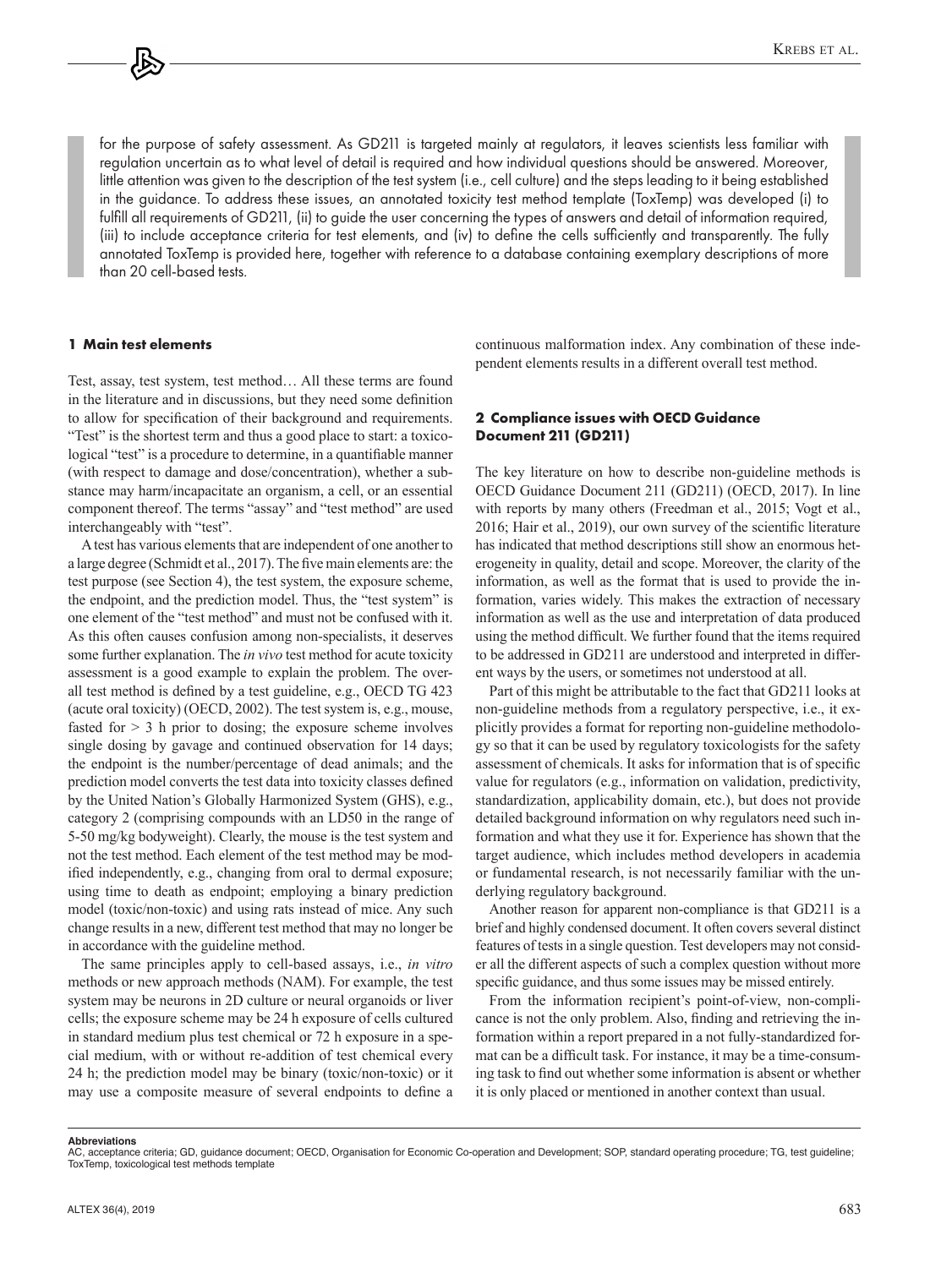for the purpose of safety assessment. As GD211 is targeted mainly at regulators, it leaves scientists less familiar with regulation uncertain as to what level of detail is required and how individual questions should be answered. Moreover, little attention was given to the description of the test system (i.e., cell culture) and the steps leading to it being established in the guidance. To address these issues, an annotated toxicity test method template (ToxTemp) was developed (i) to fulfill all requirements of GD211, (ii) to guide the user concerning the types of answers and detail of information required, (iii) to include acceptance criteria for test elements, and (iv) to define the cells sufficiently and transparently. The fully annotated ToxTemp is provided here, together with reference to a database containing exemplary descriptions of more than 20 cell-based tests.

#### **1 Main test elements**

Test, assay, test system, test method… All these terms are found in the literature and in discussions, but they need some definition to allow for specification of their background and requirements. "Test" is the shortest term and thus a good place to start: a toxicological "test" is a procedure to determine, in a quantifiable manner (with respect to damage and dose/concentration), whether a substance may harm/incapacitate an organism, a cell, or an essential component thereof. The terms "assay" and "test method" are used interchangeably with "test".

A test has various elements that are independent of one another to a large degree (Schmidt et al., 2017). The five main elements are: the test purpose (see Section 4), the test system, the exposure scheme, the endpoint, and the prediction model. Thus, the "test system" is one element of the "test method" and must not be confused with it. As this often causes confusion among non-specialists, it deserves some further explanation. The *in vivo* test method for acute toxicity assessment is a good example to explain the problem. The overall test method is defined by a test guideline, e.g., OECD TG 423 (acute oral toxicity) (OECD, 2002). The test system is, e.g., mouse, fasted for  $> 3$  h prior to dosing; the exposure scheme involves single dosing by gavage and continued observation for 14 days; the endpoint is the number/percentage of dead animals; and the prediction model converts the test data into toxicity classes defined by the United Nation's Globally Harmonized System (GHS), e.g., category 2 (comprising compounds with an LD50 in the range of 5-50 mg/kg bodyweight). Clearly, the mouse is the test system and not the test method. Each element of the test method may be modified independently, e.g., changing from oral to dermal exposure; using time to death as endpoint; employing a binary prediction model (toxic/non-toxic) and using rats instead of mice. Any such change results in a new, different test method that may no longer be in accordance with the guideline method.

The same principles apply to cell-based assays, i.e., *in vitro* methods or new approach methods (NAM). For example, the test system may be neurons in 2D culture or neural organoids or liver cells; the exposure scheme may be 24 h exposure of cells cultured in standard medium plus test chemical or 72 h exposure in a special medium, with or without re-addition of test chemical every 24 h; the prediction model may be binary (toxic/non-toxic) or it may use a composite measure of several endpoints to define a continuous malformation index. Any combination of these independent elements results in a different overall test method.

# **2 Compliance issues with OECD Guidance Document 211 (GD211)**

The key literature on how to describe non-guideline methods is OECD Guidance Document 211 (GD211) (OECD, 2017). In line with reports by many others (Freedman et al., 2015; Vogt et al., 2016; Hair et al., 2019), our own survey of the scientific literature has indicated that method descriptions still show an enormous heterogeneity in quality, detail and scope. Moreover, the clarity of the information, as well as the format that is used to provide the information, varies widely. This makes the extraction of necessary information as well as the use and interpretation of data produced using the method difficult. We further found that the items required to be addressed in GD211 are understood and interpreted in different ways by the users, or sometimes not understood at all.

Part of this might be attributable to the fact that GD211 looks at non-guideline methods from a regulatory perspective, i.e., it explicitly provides a format for reporting non-guideline methodology so that it can be used by regulatory toxicologists for the safety assessment of chemicals. It asks for information that is of specific value for regulators (e.g., information on validation, predictivity, standardization, applicability domain, etc.), but does not provide detailed background information on why regulators need such information and what they use it for. Experience has shown that the target audience, which includes method developers in academia or fundamental research, is not necessarily familiar with the underlying regulatory background.

Another reason for apparent non-compliance is that GD211 is a brief and highly condensed document. It often covers several distinct features of tests in a single question. Test developers may not consider all the different aspects of such a complex question without more specific guidance, and thus some issues may be missed entirely.

From the information recipient's point-of-view, non-complicance is not the only problem. Also, finding and retrieving the information within a report prepared in a not fully-standardized format can be a difficult task. For instance, it may be a time-consuming task to find out whether some information is absent or whether it is only placed or mentioned in another context than usual.

**Abbreviations**

AC, acceptance criteria; GD, guidance document; OECD, Organisation for Economic Co-operation and Development; SOP, standard operating procedure; TG, test guideline; ToxTemp, toxicological test methods template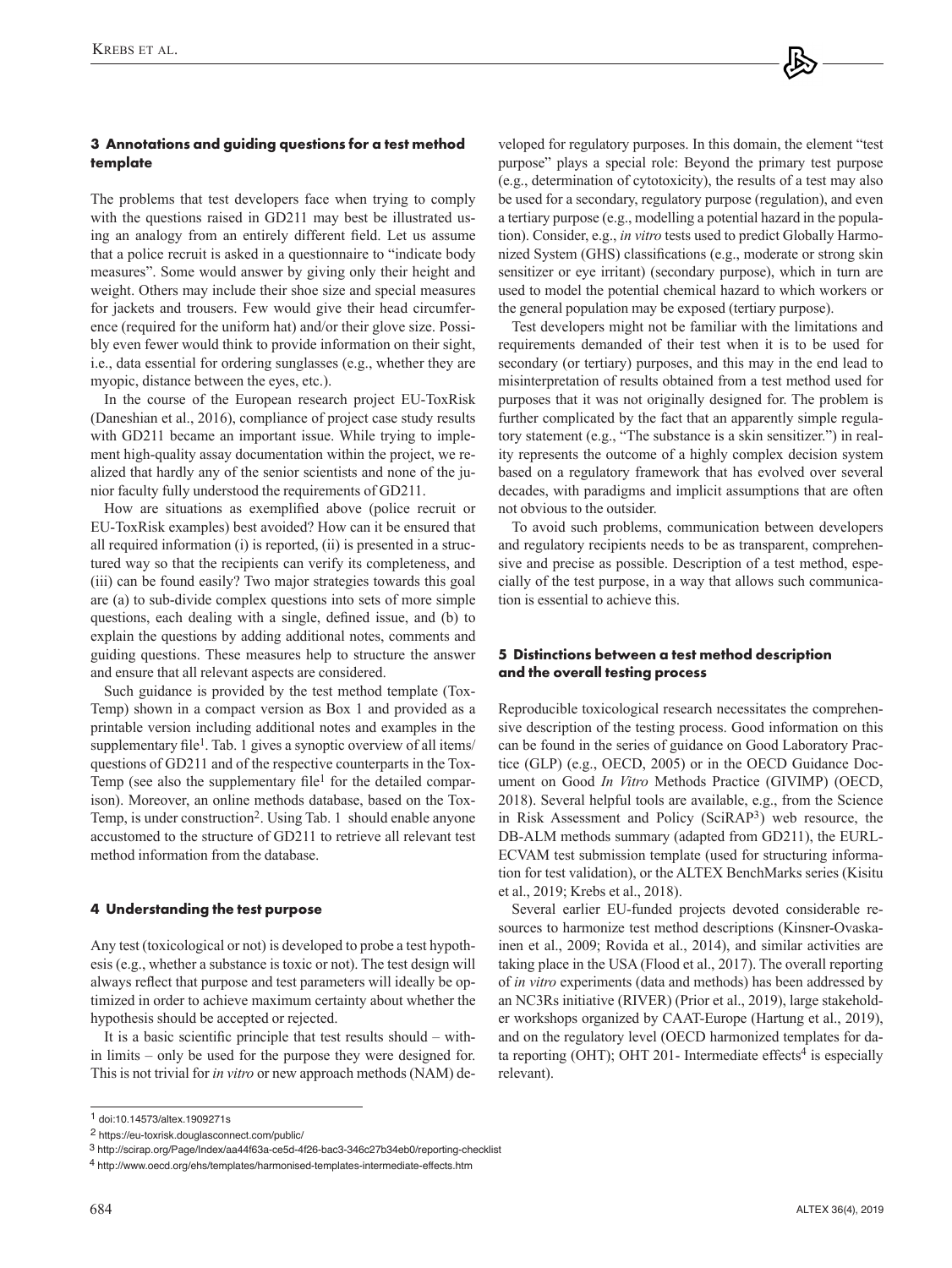# **3 Annotations and guiding questions for a test method template**

The problems that test developers face when trying to comply with the questions raised in GD211 may best be illustrated using an analogy from an entirely different field. Let us assume that a police recruit is asked in a questionnaire to "indicate body measures". Some would answer by giving only their height and weight. Others may include their shoe size and special measures for jackets and trousers. Few would give their head circumference (required for the uniform hat) and/or their glove size. Possibly even fewer would think to provide information on their sight, i.e., data essential for ordering sunglasses (e.g., whether they are myopic, distance between the eyes, etc.).

In the course of the European research project EU-ToxRisk (Daneshian et al., 2016), compliance of project case study results with GD211 became an important issue. While trying to implement high-quality assay documentation within the project, we realized that hardly any of the senior scientists and none of the junior faculty fully understood the requirements of GD211.

How are situations as exemplified above (police recruit or EU-ToxRisk examples) best avoided? How can it be ensured that all required information (i) is reported, (ii) is presented in a structured way so that the recipients can verify its completeness, and (iii) can be found easily? Two major strategies towards this goal are (a) to sub-divide complex questions into sets of more simple questions, each dealing with a single, defined issue, and (b) to explain the questions by adding additional notes, comments and guiding questions. These measures help to structure the answer and ensure that all relevant aspects are considered.

Such guidance is provided by the test method template (Tox-Temp) shown in a compact version as Box 1 and provided as a printable version including additional notes and examples in the supplementary file<sup>1</sup>. Tab. 1 gives a synoptic overview of all items/ questions of GD211 and of the respective counterparts in the Tox-Temp (see also the supplementary file<sup>1</sup> for the detailed comparison). Moreover, an online methods database, based on the Tox-Temp, is under construction<sup>2</sup>. Using Tab. 1 should enable anyone accustomed to the structure of GD211 to retrieve all relevant test method information from the database.

# **4 Understanding the test purpose**

Any test (toxicological or not) is developed to probe a test hypothesis (e.g., whether a substance is toxic or not). The test design will always reflect that purpose and test parameters will ideally be optimized in order to achieve maximum certainty about whether the hypothesis should be accepted or rejected.

It is a basic scientific principle that test results should – within limits – only be used for the purpose they were designed for. This is not trivial for *in vitro* or new approach methods (NAM) developed for regulatory purposes. In this domain, the element "test purpose" plays a special role: Beyond the primary test purpose (e.g., determination of cytotoxicity), the results of a test may also be used for a secondary, regulatory purpose (regulation), and even a tertiary purpose (e.g., modelling a potential hazard in the population). Consider, e.g., *in vitro* tests used to predict Globally Harmonized System (GHS) classifications (e.g., moderate or strong skin sensitizer or eye irritant) (secondary purpose), which in turn are used to model the potential chemical hazard to which workers or the general population may be exposed (tertiary purpose).

Test developers might not be familiar with the limitations and requirements demanded of their test when it is to be used for secondary (or tertiary) purposes, and this may in the end lead to misinterpretation of results obtained from a test method used for purposes that it was not originally designed for. The problem is further complicated by the fact that an apparently simple regulatory statement (e.g., "The substance is a skin sensitizer.") in reality represents the outcome of a highly complex decision system based on a regulatory framework that has evolved over several decades, with paradigms and implicit assumptions that are often not obvious to the outsider.

To avoid such problems, communication between developers and regulatory recipients needs to be as transparent, comprehensive and precise as possible. Description of a test method, especially of the test purpose, in a way that allows such communication is essential to achieve this.

# **5 Distinctions between a test method description and the overall testing process**

Reproducible toxicological research necessitates the comprehensive description of the testing process. Good information on this can be found in the series of guidance on Good Laboratory Practice (GLP) (e.g., OECD, 2005) or in the OECD Guidance Document on Good *In Vitro* Methods Practice (GIVIMP) (OECD, 2018). Several helpful tools are available, e.g., from the Science in Risk Assessment and Policy (SciRAP3) web resource, the DB-ALM methods summary (adapted from GD211), the EURL-ECVAM test submission template (used for structuring information for test validation), or the ALTEX BenchMarks series (Kisitu et al., 2019; Krebs et al., 2018).

Several earlier EU-funded projects devoted considerable resources to harmonize test method descriptions (Kinsner-Ovaskainen et al., 2009; Rovida et al., 2014), and similar activities are taking place in the USA (Flood et al., 2017). The overall reporting of *in vitro* experiments (data and methods) has been addressed by an NC3Rs initiative (RIVER) (Prior et al., 2019), large stakeholder workshops organized by CAAT-Europe (Hartung et al., 2019), and on the regulatory level (OECD harmonized templates for data reporting (OHT); OHT 201- Intermediate effects<sup>4</sup> is especially relevant).

<sup>1</sup> [doi:10.14573/altex.1909271s](https://doi.org/10.14573/altex.1909271s)

<sup>2</sup> <https://eu-toxrisk.douglasconnect.com/public/>

<sup>3</sup> <http://scirap.org/Page/Index/aa44f63a-ce5d-4f26-bac3-346c27b34eb0/reporting-checklist>

<sup>4</sup> <http://www.oecd.org/ehs/templates/harmonised-templates-intermediate-effects.htm>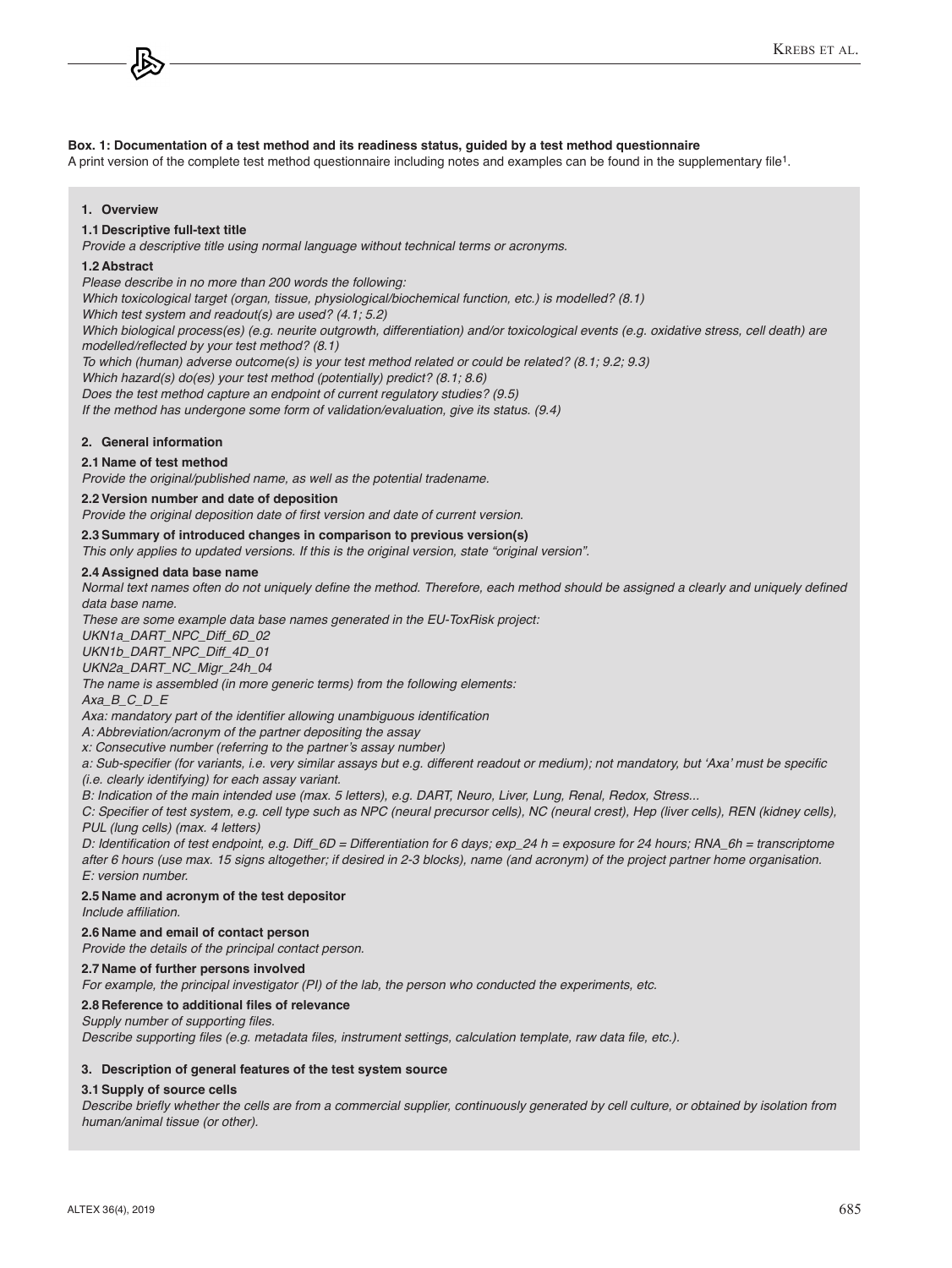#### **Box. 1: Documentation of a test method and its readiness status, guided by a test method questionnaire**

A print version of the complete test method questionnaire including notes and examples can be found in the supplementary file1.

#### **1. Overview**

#### **1.1 Descriptive full-text title**

*Provide a descriptive title using normal language without technical terms or acronyms.*

#### **1.2 Abstract**

*Please describe in no more than 200 words the following:*

*Which toxicological target (organ, tissue, physiological/biochemical function, etc.) is modelled? (8.1)*

*Which test system and readout(s) are used? (4.1; 5.2)*

*Which biological process(es) (e.g. neurite outgrowth, differentiation) and/or toxicological events (e.g. oxidative stress, cell death) are*  modelled/reflected by your test method? (8.1)

*To which (human) adverse outcome(s) is your test method related or could be related? (8.1; 9.2; 9.3)*

*Which hazard(s) do(es) your test method (potentially) predict? (8.1; 8.6)*

*Does the test method capture an endpoint of current regulatory studies? (9.5)*

*If the method has undergone some form of validation/evaluation, give its status. (9.4)*

#### **2. General information**

# **2.1 Name of test method**

*Provide the original/published name, as well as the potential tradename.*

#### **2.2 Version number and date of deposition**

Provide the original deposition date of first version and date of current version.

#### **2.3 Summary of introduced changes in comparison to previous version(s)**

*This only applies to updated versions. If this is the original version, state "original version".* 

#### **2.4 Assigned data base name**

Normal text names often do not uniquely define the method. Therefore, each method should be assigned a clearly and uniquely defined *data base name.*

*These are some example data base names generated in the EU-ToxRisk project:* 

*UKN1a\_DART\_NPC\_Diff\_6D\_02*

*UKN1b\_DART\_NPC\_Diff\_4D\_01*

*UKN2a\_DART\_NC\_Migr\_24h\_04*

*The name is assembled (in more generic terms) from the following elements:*

*Axa\_B\_C\_D\_E*

Axa: mandatory part of the identifier allowing unambiguous identification

*A: Abbreviation/acronym of the partner depositing the assay*

x: Consecutive number (referring to the partner's assay number)

a: Sub-specifier (for variants, i.e. very similar assays but e.g. different readout or medium); not mandatory, but 'Axa' must be specific *(i.e. clearly identifying) for each assay variant.*

*B: Indication of the main intended use (max. 5 letters), e.g. DART, Neuro, Liver, Lung, Renal, Redox, Stress...*

C: Specifier of test system, e.g. cell type such as NPC (neural precursor cells), NC (neural crest), Hep (liver cells), REN (kidney cells), *PUL (lung cells) (max. 4 letters)*

D: Identification of test endpoint, e.g. Diff\_6D = Differentiation for 6 days; exp\_24 h = exposure for 24 hours; RNA\_6h = transcriptome *after 6 hours (use max. 15 signs altogether; if desired in 2-3 blocks), name (and acronym) of the project partner home organisation. E: version number.*

#### **2.5 Name and acronym of the test depositor**

Include affiliation.

#### **2.6 Name and email of contact person**

*Provide the details of the principal contact person.* 

# **2.7 Name of further persons involved**

*For example, the principal investigator (PI) of the lab, the person who conducted the experiments, etc.*

#### **2.8 Reference to additional files of relevance**

Supply number of supporting files. Describe supporting files (e.g. metadata files, instrument settings, calculation template, raw data file, etc.).

# **3. Description of general features of the test system source**

#### **3.1 Supply of source cells**

Describe briefly whether the cells are from a commercial supplier, continuously generated by cell culture, or obtained by isolation from *human/animal tissue (or other).*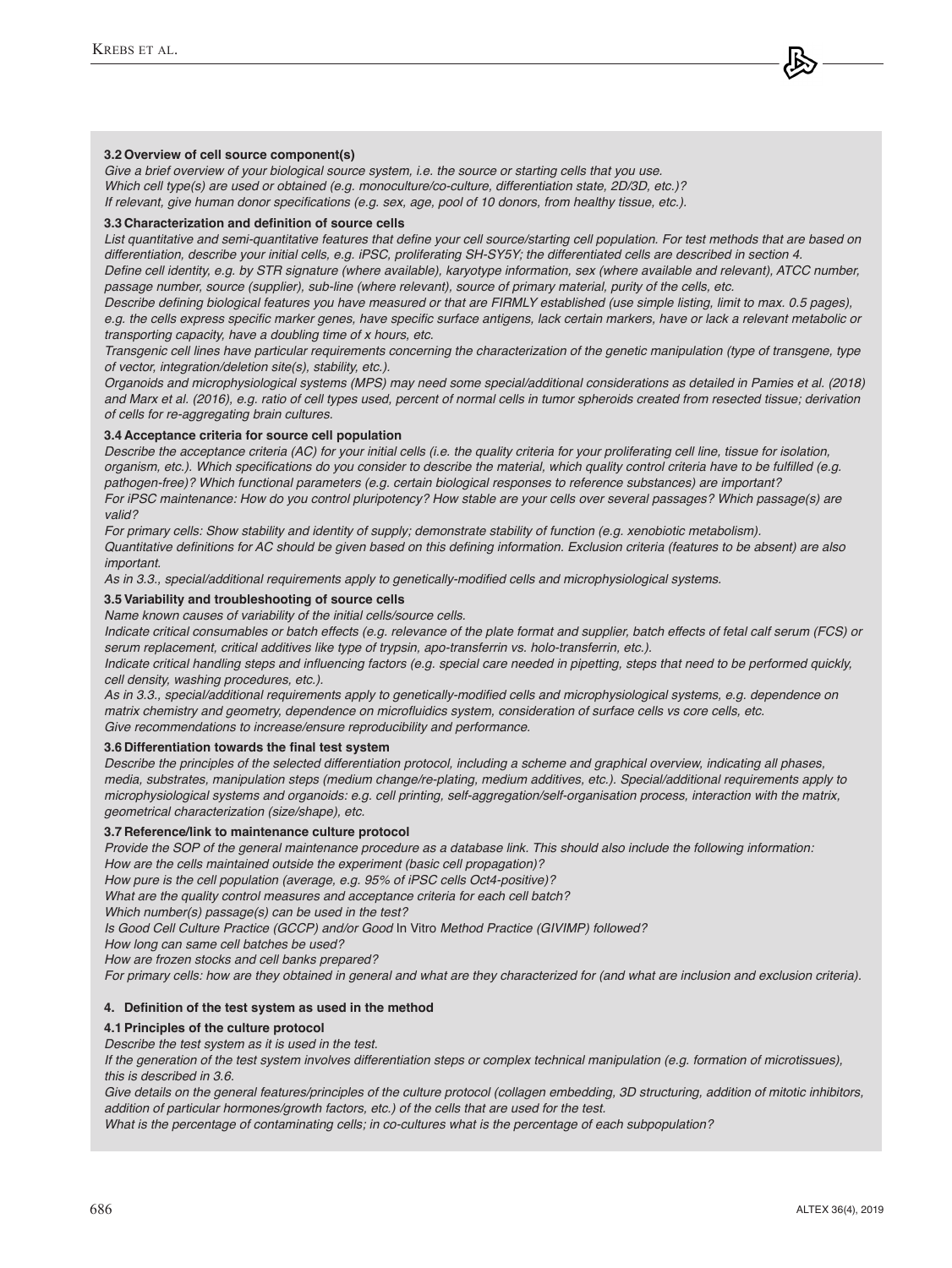#### **3.2 Overview of cell source component(s)**

*Give a brief overview of your biological source system, i.e. the source or starting cells that you use. Which cell type(s) are used or obtained (e.g. monoculture/co-culture, differentiation state, 2D/3D, etc.)?*  If relevant, give human donor specifications (e.g. sex, age, pool of 10 donors, from healthy tissue, etc.).

# **3.3 Characterization and definition of source cells**

List quantitative and semi-quantitative features that define your cell source/starting cell population. For test methods that are based on differentiation, describe your initial cells, e.g. iPSC, proliferating SH-SY5Y; the differentiated cells are described in section 4.

Define cell identity, e.g. by STR signature (where available), karyotype information, sex (where available and relevant), ATCC number, *passage number, source (supplier), sub-line (where relevant), source of primary material, purity of the cells, etc.*

Describe defining biological features you have measured or that are FIRMLY established (use simple listing, limit to max. 0.5 pages), e.g. the cells express specific marker genes, have specific surface antigens, lack certain markers, have or lack a relevant metabolic or *transporting capacity, have a doubling time of x hours, etc.* 

*Transgenic cell lines have particular requirements concerning the characterization of the genetic manipulation (type of transgene, type of vector, integration/deletion site(s), stability, etc.).*

*Organoids and microphysiological systems (MPS) may need some special/additional considerations as detailed in Pamies et al. (2018) and Marx et al. (2016), e.g. ratio of cell types used, percent of normal cells in tumor spheroids created from resected tissue; derivation of cells for re-aggregating brain cultures.*

#### **3.4 Acceptance criteria for source cell population**

*Describe the acceptance criteria (AC) for your initial cells (i.e. the quality criteria for your proliferating cell line, tissue for isolation,*  organism, etc.). Which specifications do you consider to describe the material, which quality control criteria have to be fulfilled (e.g. *pathogen-free)? Which functional parameters (e.g. certain biological responses to reference substances) are important?*  For iPSC maintenance: How do you control pluripotency? How stable are your cells over several passages? Which passage(s) are *valid?*

*For primary cells: Show stability and identity of supply; demonstrate stability of function (e.g. xenobiotic metabolism).*  Quantitative definitions for AC should be given based on this defining information. Exclusion criteria (features to be absent) are also *important.* 

As in 3.3., special/additional requirements apply to genetically-modified cells and microphysiological systems.

#### **3.5 Variability and troubleshooting of source cells**

*Name known causes of variability of the initial cells/source cells.*

*Indicate critical consumables or batch effects (e.g. relevance of the plate format and supplier, batch effects of fetal calf serum (FCS) or serum replacement, critical additives like type of trypsin, apo-transferrin vs. holo-transferrin, etc.).*

Indicate critical handling steps and influencing factors (e.g. special care needed in pipetting, steps that need to be performed quickly, *cell density, washing procedures, etc.).*

As in 3.3., special/additional requirements apply to genetically-modified cells and microphysiological systems, e.g. dependence on matrix chemistry and geometry, dependence on microfluidics system, consideration of surface cells vs core cells, etc. *Give recommendations to increase/ensure reproducibility and performance.*

#### **3.6 Differentiation towards the final test system**

*Describe the principles of the selected differentiation protocol, including a scheme and graphical overview, indicating all phases, media, substrates, manipulation steps (medium change/re-plating, medium additives, etc.). Special/additional requirements apply to microphysiological systems and organoids: e.g. cell printing, self-aggregation/self-organisation process, interaction with the matrix, geometrical characterization (size/shape), etc.*

#### **3.7 Reference/link to maintenance culture protocol**

*Provide the SOP of the general maintenance procedure as a database link. This should also include the following information:* How are the cells maintained outside the experiment (basic cell propagation)?

How pure is the cell population (average, e.g. 95% of iPSC cells Oct4-positive)?

*What are the quality control measures and acceptance criteria for each cell batch?*

*Which number(s) passage(s) can be used in the test?*

*Is Good Cell Culture Practice (GCCP) and/or Good* In Vitro *Method Practice (GIVIMP) followed?*

How long can same cell batches be used?

How are frozen stocks and cell banks prepared?

*For primary cells: how are they obtained in general and what are they characterized for (and what are inclusion and exclusion criteria).* 

#### **4. Definition of the test system as used in the method**

#### **4.1 Principles of the culture protocol**

*Describe the test system as it is used in the test.* 

*If the generation of the test system involves differentiation steps or complex technical manipulation (e.g. formation of microtissues), this is described in 3.6.*

*Give details on the general features/principles of the culture protocol (collagen embedding, 3D structuring, addition of mitotic inhibitors, addition of particular hormones/growth factors, etc.) of the cells that are used for the test.* 

*What is the percentage of contaminating cells; in co-cultures what is the percentage of each subpopulation?*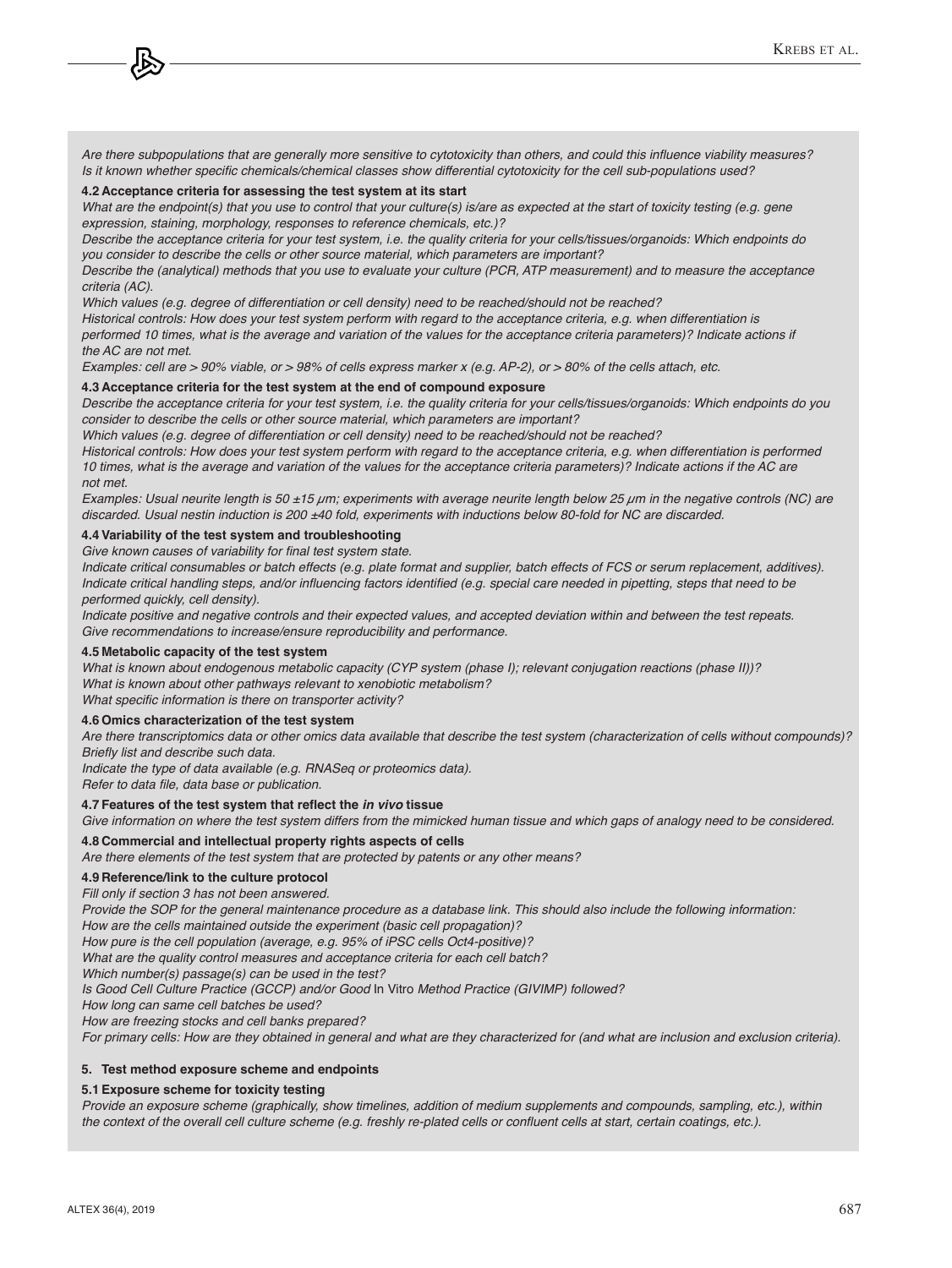Are there subpopulations that are generally more sensitive to cytotoxicity than others, and could this influence viability measures? Is it known whether specific chemicals/chemical classes show differential cytotoxicity for the cell sub-populations used?

#### **4.2 Acceptance criteria for assessing the test system at its start**

*What are the endpoint(s) that you use to control that your culture(s) is/are as expected at the start of toxicity testing (e.g. gene expression, staining, morphology, responses to reference chemicals, etc.)?* 

*Describe the acceptance criteria for your test system, i.e. the quality criteria for your cells/tissues/organoids: Which endpoints do you consider to describe the cells or other source material, which parameters are important?* 

*Describe the (analytical) methods that you use to evaluate your culture (PCR, ATP measurement) and to measure the acceptance criteria (AC).* 

*Which values (e.g. degree of differentiation or cell density) need to be reached/should not be reached?*

Historical controls: How does your test system perform with regard to the acceptance criteria, e.g. when differentiation is *performed 10 times, what is the average and variation of the values for the acceptance criteria parameters)? Indicate actions if the AC are not met.* 

Examples: cell are > 90% viable, or > 98% of cells express marker x (e.g. AP-2), or > 80% of the cells attach, etc.

#### **4.3 Acceptance criteria for the test system at the end of compound exposure**

*Describe the acceptance criteria for your test system, i.e. the quality criteria for your cells/tissues/organoids: Which endpoints do you consider to describe the cells or other source material, which parameters are important?* 

*Which values (e.g. degree of differentiation or cell density) need to be reached/should not be reached?*

Historical controls: How does your test system perform with regard to the acceptance criteria, e.g. when differentiation is performed *10 times, what is the average and variation of the values for the acceptance criteria parameters)? Indicate actions if the AC are not met.* 

*Examples: Usual neurite length is 50 ±15 µm; experiments with average neurite length below 25 µm in the negative controls (NC) are discarded. Usual nestin induction is 200 ±40 fold, experiments with inductions below 80-fold for NC are discarded.* 

#### **4.4 Variability of the test system and troubleshooting**

Give known causes of variability for final test system state.

*Indicate critical consumables or batch effects (e.g. plate format and supplier, batch effects of FCS or serum replacement, additives).* Indicate critical handling steps, and/or influencing factors identified (e.g. special care needed in pipetting, steps that need to be *performed quickly, cell density).*

*Indicate positive and negative controls and their expected values, and accepted deviation within and between the test repeats. Give recommendations to increase/ensure reproducibility and performance.*

#### **4.5 Metabolic capacity of the test system**

What is known about endogenous metabolic capacity (CYP system (phase I); relevant conjugation reactions (phase II))? *What is known about other pathways relevant to xenobiotic metabolism?* What specific information is there on transporter activity?

**4.6 Omics characterization of the test system**

*Are there transcriptomics data or other omics data available that describe the test system (characterization of cells without compounds)?*  Briefly list and describe such data.

*Indicate the type of data available (e.g. RNASeq or proteomics data).* 

Refer to data file, data base or publication.

#### **4.7 Features of the test system that reflect the** *in vivo* **tissue**

*Give information on where the test system differs from the mimicked human tissue and which gaps of analogy need to be considered.*

#### **4.8 Commercial and intellectual property rights aspects of cells**

*Are there elements of the test system that are protected by patents or any other means?*

#### **4.9 Reference/link to the culture protocol**

*Fill only if section 3 has not been answered.* 

*Provide the SOP for the general maintenance procedure as a database link. This should also include the following information:* How are the cells maintained outside the experiment (basic cell propagation)?

How pure is the cell population (average, e.g. 95% of iPSC cells Oct4-positive)?

*What are the quality control measures and acceptance criteria for each cell batch?*

*Which number(s) passage(s) can be used in the test?*

*Is Good Cell Culture Practice (GCCP) and/or Good* In Vitro *Method Practice (GIVIMP) followed?*

How long can same cell batches be used?

How are freezing stocks and cell banks prepared?

For primary cells: How are they obtained in general and what are they characterized for (and what are inclusion and exclusion criteria).

#### **5. Test method exposure scheme and endpoints**

#### **5.1 Exposure scheme for toxicity testing**

*Provide an exposure scheme (graphically, show timelines, addition of medium supplements and compounds, sampling, etc.), within*  the context of the overall cell culture scheme (e.g. freshly re-plated cells or confluent cells at start, certain coatings, etc.).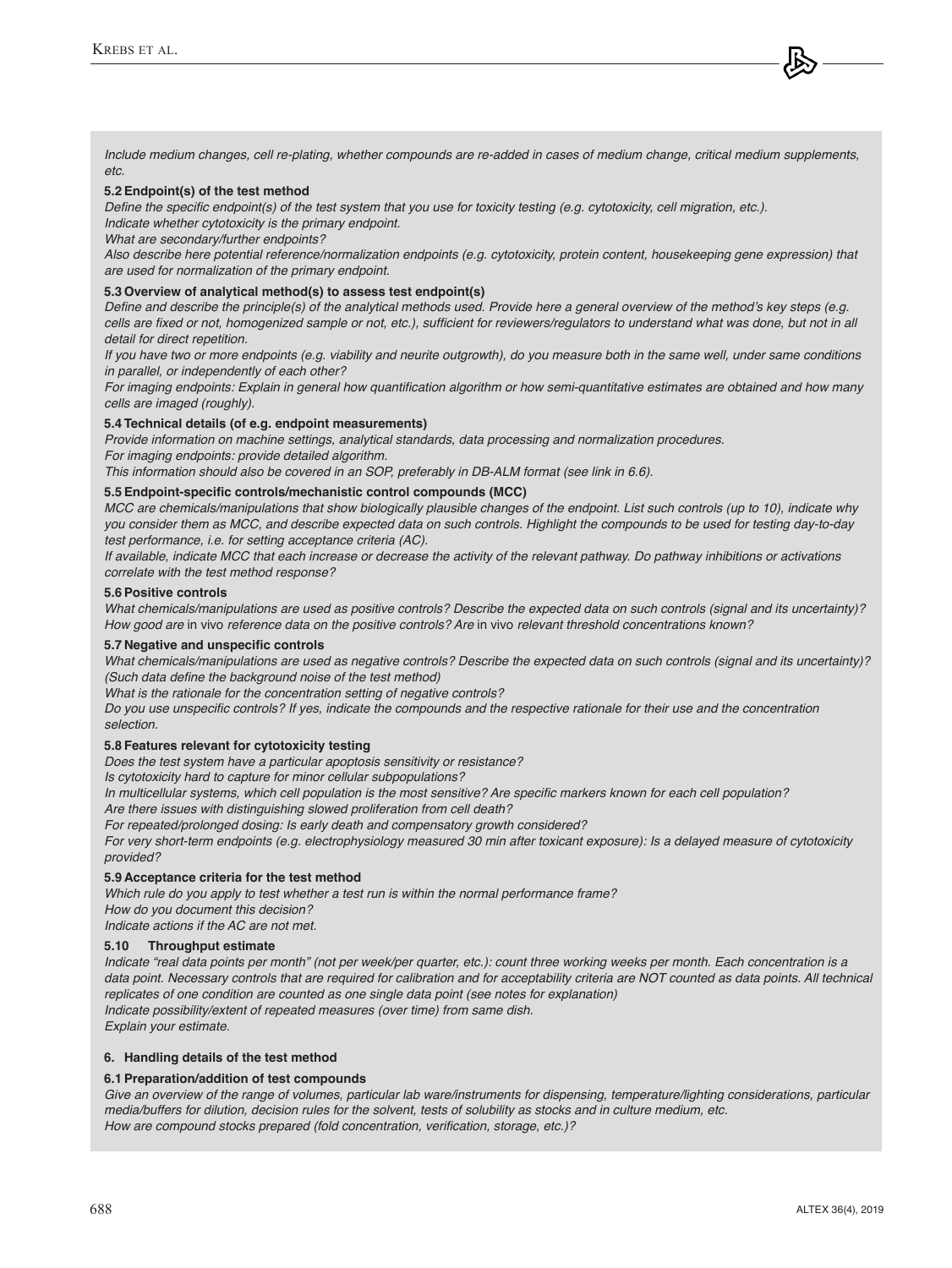*Include medium changes, cell re-plating, whether compounds are re-added in cases of medium change, critical medium supplements, etc.*

#### **5.2 Endpoint(s) of the test method**

Define the specific endpoint(s) of the test system that you use for toxicity testing (e.g. cytotoxicity, cell migration, etc.). *Indicate whether cytotoxicity is the primary endpoint.*

*What are secondary/further endpoints?*

*Also describe here potential reference/normalization endpoints (e.g. cytotoxicity, protein content, housekeeping gene expression) that are used for normalization of the primary endpoint.* 

#### **5.3 Overview of analytical method(s) to assess test endpoint(s)**

Define and describe the principle(s) of the analytical methods used. Provide here a general overview of the method's key steps (e.g. cells are fixed or not, homogenized sample or not, etc.), sufficient for reviewers/regulators to understand what was done, but not in all *detail for direct repetition.*

*If you have two or more endpoints (e.g. viability and neurite outgrowth), do you measure both in the same well, under same conditions in parallel, or independently of each other?*

For imaging endpoints: Explain in general how quantification algorithm or how semi-quantitative estimates are obtained and how many *cells are imaged (roughly).* 

# **5.4 Technical details (of e.g. endpoint measurements)**

*Provide information on machine settings, analytical standards, data processing and normalization procedures.* 

*For imaging endpoints: provide detailed algorithm.*

*This information should also be covered in an SOP, preferably in DB-ALM format (see link in 6.6).* 

# **5.5 Endpoint-specific controls/mechanistic control compounds (MCC)**

*MCC are chemicals/manipulations that show biologically plausible changes of the endpoint. List such controls (up to 10), indicate why*  you consider them as MCC, and describe expected data on such controls. Highlight the compounds to be used for testing day-to-day *test performance, i.e. for setting acceptance criteria (AC).*

*If available, indicate MCC that each increase or decrease the activity of the relevant pathway. Do pathway inhibitions or activations correlate with the test method response?*

# **5.6 Positive controls**

*What chemicals/manipulations are used as positive controls? Describe the expected data on such controls (signal and its uncertainty)?* How good are in vivo *reference data on the positive controls? Are* in vivo *relevant threshold concentrations known?*

#### **5.7 Negative and unspecific controls**

*What chemicals/manipulations are used as negative controls? Describe the expected data on such controls (signal and its uncertainty)?*  (Such data define the background noise of the test method)

*What is the rationale for the concentration setting of negative controls?*

Do you use unspecific controls? If yes, indicate the compounds and the respective rationale for their use and the concentration *selection.*

#### **5.8 Features relevant for cytotoxicity testing**

*Does the test system have a particular apoptosis sensitivity or resistance?*

*Is cytotoxicity hard to capture for minor cellular subpopulations?*

In multicellular systems, which cell population is the most sensitive? Are specific markers known for each cell population?

*Are there issues with distinguishing slowed proliferation from cell death?* 

*For repeated/prolonged dosing: Is early death and compensatory growth considered?*

*For very short-term endpoints (e.g. electrophysiology measured 30 min after toxicant exposure): Is a delayed measure of cytotoxicity provided?*

#### **5.9 Acceptance criteria for the test method**

*Which rule do you apply to test whether a test run is within the normal performance frame?* How do you document this decision?

*Indicate actions if the AC are not met.*

# **5.10 Throughput estimate**

*Indicate "real data points per month" (not per week/per quarter, etc.): count three working weeks per month. Each concentration is a data point. Necessary controls that are required for calibration and for acceptability criteria are NOT counted as data points. All technical replicates of one condition are counted as one single data point (see notes for explanation) Indicate possibility/extent of repeated measures (over time) from same dish.*

*Explain your estimate.*

#### **6. Handling details of the test method**

#### **6.1 Preparation/addition of test compounds**

Give an overview of the range of volumes, particular lab ware/instruments for dispensing, temperature/lighting considerations, particular *media/buffers for dilution, decision rules for the solvent, tests of solubility as stocks and in culture medium, etc.*  How are compound stocks prepared (fold concentration, verification, storage, etc.)?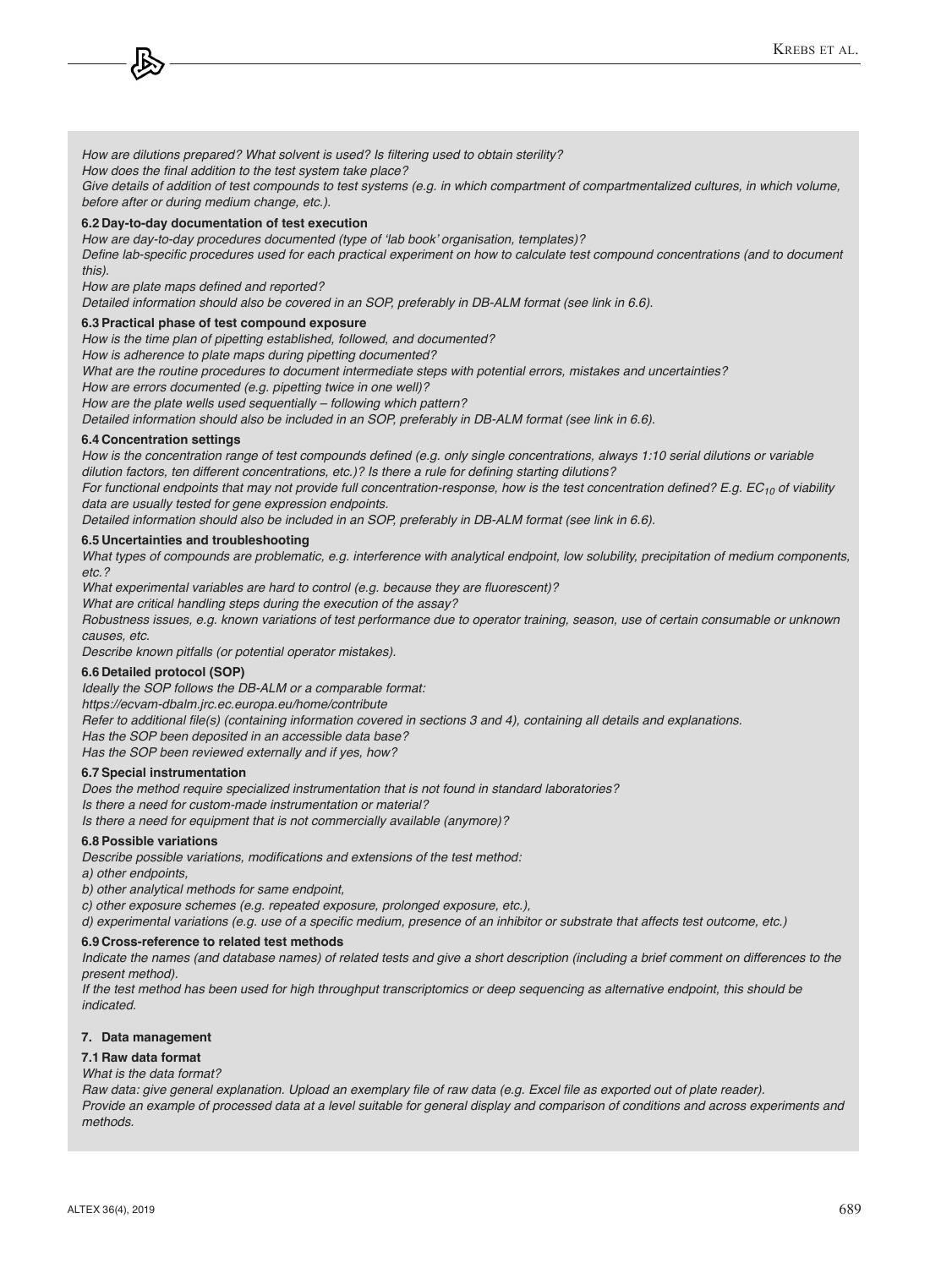How are dilutions prepared? What solvent is used? Is filtering used to obtain sterility?

How does the final addition to the test system take place?

Give details of addition of test compounds to test systems (e.g. in which compartment of compartmentalized cultures, in which volume, *before after or during medium change, etc.).*

#### **6.2 Day-to-day documentation of test execution**

How are day-to-day procedures documented (type of 'lab book' organisation, templates)? Define lab-specific procedures used for each practical experiment on how to calculate test compound concentrations (and to document

*this).* How are plate maps defined and reported?

*Detailed information should also be covered in an SOP, preferably in DB-ALM format (see link in 6.6).* 

#### **6.3 Practical phase of test compound exposure**

How is the time plan of pipetting established, followed, and documented?

How is adherence to plate maps during pipetting documented?

*What are the routine procedures to document intermediate steps with potential errors, mistakes and uncertainties?*

How are errors documented (e.g. pipetting twice in one well)?

How are the plate wells used sequentially – following which pattern?

*Detailed information should also be included in an SOP, preferably in DB-ALM format (see link in 6.6).* 

#### **6.4 Concentration settings**

How is the concentration range of test compounds defined (e.g. only single concentrations, always 1:10 serial dilutions or variable dilution factors, ten different concentrations, etc.)? Is there a rule for defining starting dilutions?

For functional endpoints that may not provide full concentration-response, how is the test concentration defined? E.g. EC*10 of viability data are usually tested for gene expression endpoints.*

*Detailed information should also be included in an SOP, preferably in DB-ALM format (see link in 6.6).* 

#### **6.5 Uncertainties and troubleshooting**

*What types of compounds are problematic, e.g. interference with analytical endpoint, low solubility, precipitation of medium components, etc.?*

What experimental variables are hard to control (e.g. because they are fluorescent)?

*What are critical handling steps during the execution of the assay?*

*Robustness issues, e.g. known variations of test performance due to operator training, season, use of certain consumable or unknown causes, etc.*

*Describe known pitfalls (or potential operator mistakes).*

# **6.6 Detailed protocol (SOP)**

*Ideally the SOP follows the DB-ALM or a comparable format:*

*<https://ecvam-dbalm.jrc.ec.europa.eu/home/contribute>*

Refer to additional file(s) (containing information covered in sections 3 and 4), containing all details and explanations.

Has the SOP been deposited in an accessible data base?

Has the SOP been reviewed externally and if yes, how?

#### **6.7 Special instrumentation**

*Does the method require specialized instrumentation that is not found in standard laboratories? Is there a need for custom-made instrumentation or material?* 

*Is there a need for equipment that is not commercially available (anymore)?*

#### **6.8 Possible variations**

Describe possible variations, modifications and extensions of the test method:

*a) other endpoints,* 

*b) other analytical methods for same endpoint,* 

*c) other exposure schemes (e.g. repeated exposure, prolonged exposure, etc.),*

d) experimental variations (e.g. use of a specific medium, presence of an inhibitor or substrate that affects test outcome, etc.)

#### **6.9 Cross-reference to related test methods**

*Indicate the names (and database names) of related tests and give a short description (including a brief comment on differences to the present method).* 

*If the test method has been used for high throughput transcriptomics or deep sequencing as alternative endpoint, this should be indicated.*

#### **7. Data management**

#### **7.1 Raw data format**

#### *What is the data format?*

Raw data: give general explanation. Upload an exemplary file of raw data (e.g. Excel file as exported out of plate reader). Provide an example of processed data at a level suitable for general display and comparison of conditions and across experiments and *methods.*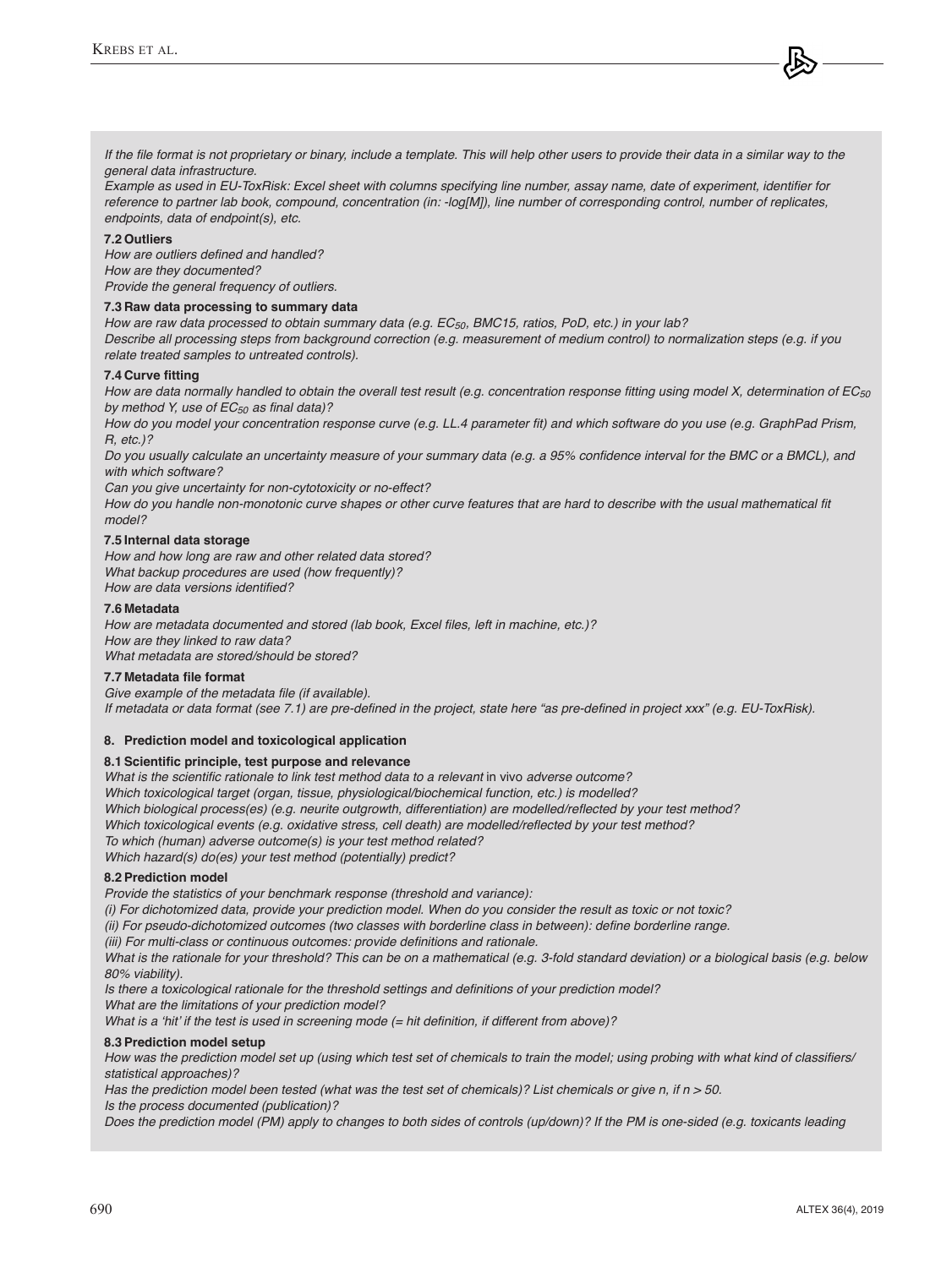If the file format is not proprietary or binary, include a template. This will help other users to provide their data in a similar way to the *general data infrastructure.* 

Example as used in EU-ToxRisk: Excel sheet with columns specifying line number, assay name, date of experiment, identifier for *reference to partner lab book, compound, concentration (in: -log[M]), line number of corresponding control, number of replicates, endpoints, data of endpoint(s), etc.*

#### **7.2 Outliers**

How are outliers defined and handled? How are they documented? *Provide the general frequency of outliers.*

#### **7.3 Raw data processing to summary data**

How are raw data processed to obtain summary data (e.g. EC*50, BMC15, ratios, PoD, etc.) in your lab? Describe all processing steps from background correction (e.g. measurement of medium control) to normalization steps (e.g. if you relate treated samples to untreated controls).*

#### **7.4 Curve fitting**

How are data normally handled to obtain the overall test result (e.g. concentration response fitting using model X, determination of EC*50* by method Y, use of EC*50* as final data)?

How do you model your concentration response curve (e.g. LL.4 parameter fit) and which software do you use (e.g. GraphPad Prism, *R, etc.)?*

Do you usually calculate an uncertainty measure of your summary data (e.g. a 95% confidence interval for the BMC or a BMCL), and *with which software?*

*Can you give uncertainty for non-cytotoxicity or no-effect?* 

How do you handle non-monotonic curve shapes or other curve features that are hard to describe with the usual mathematical fit *model?*

#### **7.5 Internal data storage**

How and how long are raw and other related data stored? *What backup procedures are used (how frequently)?*  How are data versions identified?

#### **7.6 Metadata**

How are metadata documented and stored (lab book, Excel files, left in machine, etc.)? How are they linked to raw data? *What metadata are stored/should be stored?*

#### **7.7 Metadata file format**

Give example of the metadata file (if available). If metadata or data format (see 7.1) are pre-defined in the project, state here "as pre-defined in project xxx" (e.g. EU-ToxRisk).

#### **8. Prediction model and toxicological application**

#### **8.1 Scientific principle, test purpose and relevance**

What is the scientific rationale to link test method data to a relevant in vivo *adverse outcome? Which toxicological target (organ, tissue, physiological/biochemical function, etc.) is modelled?* Which biological process(es) (e.g. neurite outgrowth, differentiation) are modelled/reflected by your test method? Which toxicological events (e.g. oxidative stress, cell death) are modelled/reflected by your test method? *To which (human) adverse outcome(s) is your test method related? Which hazard(s) do(es) your test method (potentially) predict?*

#### **8.2 Prediction model**

*Provide the statistics of your benchmark response (threshold and variance):*

*(i) For dichotomized data, provide your prediction model. When do you consider the result as toxic or not toxic?* 

(ii) For pseudo-dichotomized outcomes (two classes with borderline class in between): define borderline range.

(iii) For multi-class or continuous outcomes: provide definitions and rationale.

*What is the rationale for your threshold? This can be on a mathematical (e.g. 3-fold standard deviation) or a biological basis (e.g. below*  80% viability).

Is there a toxicological rationale for the threshold settings and definitions of your prediction model?

*What are the limitations of your prediction model?*

What is a 'hit' if the test is used in screening mode (= hit definition, if different from above)?

#### **8.3 Prediction model setup**

How was the prediction model set up (using which test set of chemicals to train the model; using probing with what kind of classifiers/ *statistical approaches)?*

Has the prediction model been tested (what was the test set of chemicals)? List chemicals or give n, if n > 50. *Is the process documented (publication)?*

*Does the prediction model (PM) apply to changes to both sides of controls (up/down)? If the PM is one-sided (e.g. toxicants leading*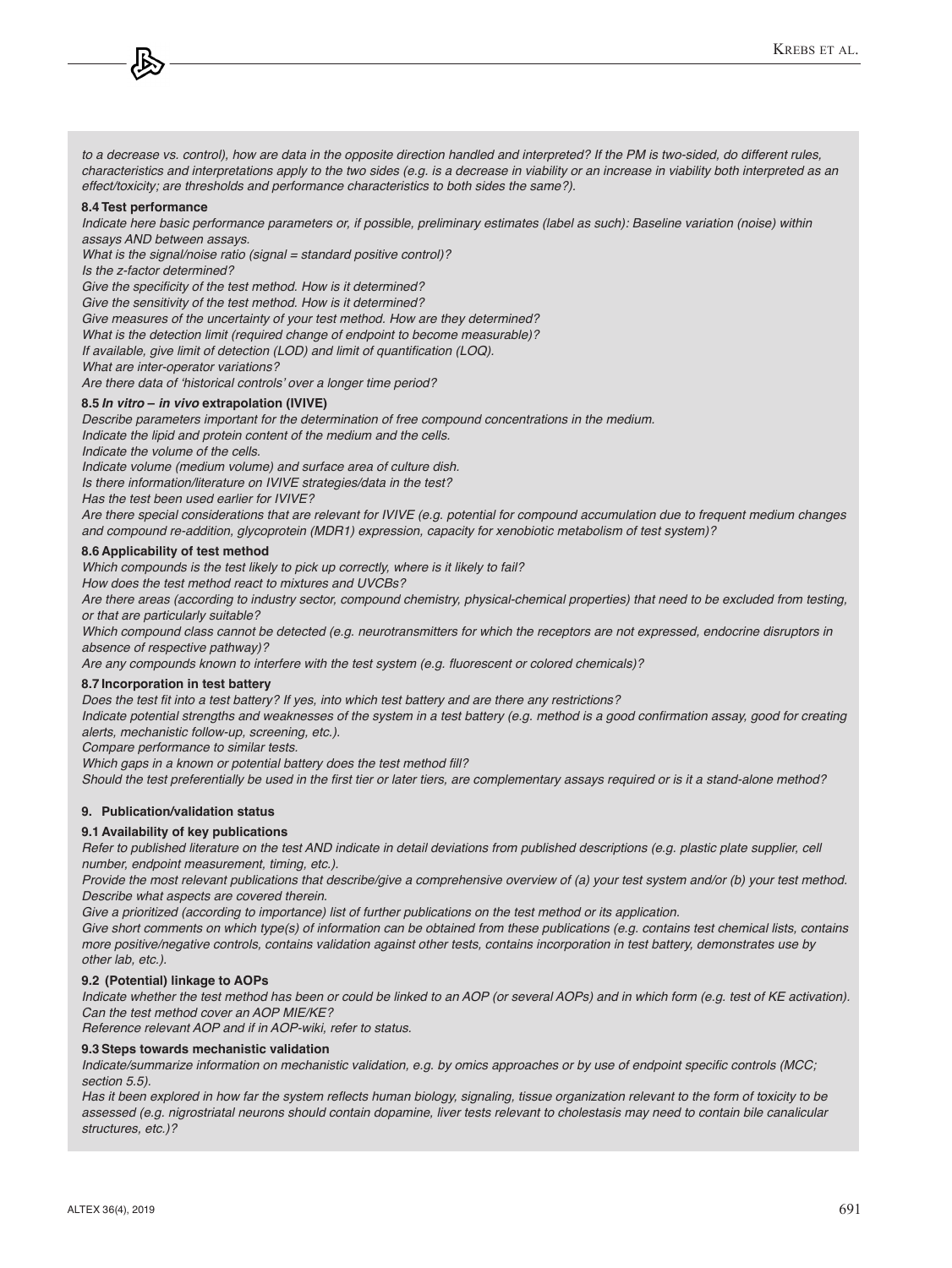*to a decrease vs. control), how are data in the opposite direction handled and interpreted? If the PM is two-sided, do different rules, characteristics and interpretations apply to the two sides (e.g. is a decrease in viability or an increase in viability both interpreted as an effect/toxicity; are thresholds and performance characteristics to both sides the same?).*

#### **8.4 Test performance**

*Indicate here basic performance parameters or, if possible, preliminary estimates (label as such): Baseline variation (noise) within assays AND between assays.* 

What is the signal/noise ratio (signal  $=$  standard positive control)?

*Is the z-factor determined?*

Give the specificity of the test method. How is it determined?

Give the sensitivity of the test method. How is it determined?

Give measures of the uncertainty of your test method. How are they determined?

*What is the detection limit (required change of endpoint to become measurable)?*

If available, give limit of detection (LOD) and limit of quantification (LOQ).

*What are inter-operator variations?*

Are there data of 'historical controls' over a longer time period?

#### **8.5** *In vitro* **–** *in vivo* **extrapolation (IVIVE)**

*Describe parameters important for the determination of free compound concentrations in the medium.*

*Indicate the lipid and protein content of the medium and the cells.* 

*Indicate the volume of the cells.*

*Indicate volume (medium volume) and surface area of culture dish.*

*Is there information/literature on IVIVE strategies/data in the test?*

Has the test been used earlier for IVIVE?

*Are there special considerations that are relevant for IVIVE (e.g. potential for compound accumulation due to frequent medium changes and compound re-addition, glycoprotein (MDR1) expression, capacity for xenobiotic metabolism of test system)?*

#### **8.6 Applicability of test method**

*Which compounds is the test likely to pick up correctly, where is it likely to fail?* 

How does the test method react to mixtures and UVCBs?

*Are there areas (according to industry sector, compound chemistry, physical-chemical properties) that need to be excluded from testing, or that are particularly suitable?*

*Which compound class cannot be detected (e.g. neurotransmitters for which the receptors are not expressed, endocrine disruptors in absence of respective pathway)?*

Are any compounds known to interfere with the test system (e.g. fluorescent or colored chemicals)?

#### **8.7 Incorporation in test battery**

Does the test fit into a test battery? If yes, into which test battery and are there any restrictions?

Indicate potential strengths and weaknesses of the system in a test battery (e.g. method is a good confirmation assay, good for creating *alerts, mechanistic follow-up, screening, etc.).* 

*Compare performance to similar tests.* 

Which gaps in a known or potential battery does the test method fill?

Should the test preferentially be used in the first tier or later tiers, are complementary assays required or is it a stand-alone method?

#### **9. Publication/validation status**

#### **9.1 Availability of key publications**

*Refer to published literature on the test AND indicate in detail deviations from published descriptions (e.g. plastic plate supplier, cell number, endpoint measurement, timing, etc.).*

*Provide the most relevant publications that describe/give a comprehensive overview of (a) your test system and/or (b) your test method. Describe what aspects are covered therein.*

*Give a prioritized (according to importance) list of further publications on the test method or its application.*

Give short comments on which type(s) of information can be obtained from these publications (e.g. contains test chemical lists, contains *more positive/negative controls, contains validation against other tests, contains incorporation in test battery, demonstrates use by other lab, etc.).*

#### **9.2 (Potential) linkage to AOPs**

*Indicate whether the test method has been or could be linked to an AOP (or several AOPs) and in which form (e.g. test of KE activation). Can the test method cover an AOP MIE/KE?*

*Reference relevant AOP and if in AOP-wiki, refer to status.*

#### **9.3 Steps towards mechanistic validation**

Indicate/summarize information on mechanistic validation, e.g. by omics approaches or by use of endpoint specific controls (MCC; *section 5.5).*

Has it been explored in how far the system reflects human biology, signaling, tissue organization relevant to the form of toxicity to be *assessed (e.g. nigrostriatal neurons should contain dopamine, liver tests relevant to cholestasis may need to contain bile canalicular structures, etc.)?*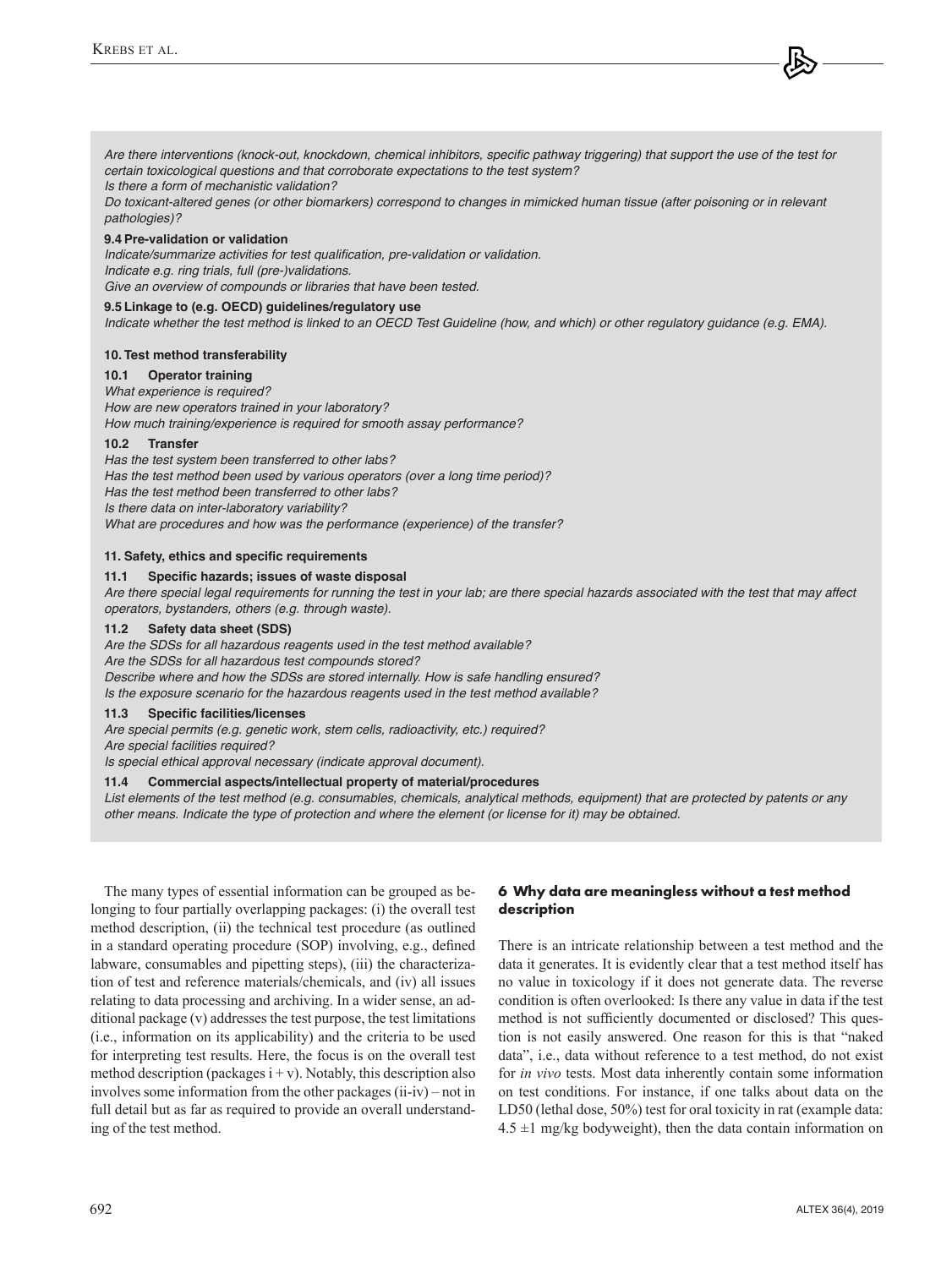Are there interventions (knock-out, knockdown, chemical inhibitors, specific pathway triggering) that support the use of the test for *certain toxicological questions and that corroborate expectations to the test system?*

*Is there a form of mechanistic validation?* 

*Do toxicant-altered genes (or other biomarkers) correspond to changes in mimicked human tissue (after poisoning or in relevant pathologies)?*

#### **9.4 Pre-validation or validation**

Indicate/summarize activities for test qualification, pre-validation or validation. *Indicate e.g. ring trials, full (pre-)validations. Give an overview of compounds or libraries that have been tested.*

# **9.5 Linkage to (e.g. OECD) guidelines/regulatory use**

*Indicate whether the test method is linked to an OECD Test Guideline (how, and which) or other regulatory guidance (e.g. EMA).*

#### **10. Test method transferability**

# **10.1 Operator training**

*What experience is required?*  How are new operators trained in your laboratory? How much training/experience is required for smooth assay performance?

#### **10.2 Transfer**

Has the test system been transferred to other labs? Has the test method been used by various operators (over a long time period)? Has the test method been transferred to other labs? *Is there data on inter-laboratory variability? What are procedures and how was the performance (experience) of the transfer?*

#### **11. Safety, ethics and specific requirements**

#### **11.1 Specific hazards; issues of waste disposal**

*Are there special legal requirements for running the test in your lab; are there special hazards associated with the test that may affect operators, bystanders, others (e.g. through waste).*

#### **11.2 Safety data sheet (SDS)**

*Are the SDSs for all hazardous reagents used in the test method available? Are the SDSs for all hazardous test compounds stored?* Describe where and how the SDSs are stored internally. How is safe handling ensured?

*Is the exposure scenario for the hazardous reagents used in the test method available?*

#### **11.3 Specific facilities/licenses**

*Are special permits (e.g. genetic work, stem cells, radioactivity, etc.) required? Are special facilities required?* 

*Is special ethical approval necessary (indicate approval document).*

#### **11.4 Commercial aspects/intellectual property of material/procedures**

*List elements of the test method (e.g. consumables, chemicals, analytical methods, equipment) that are protected by patents or any other means. Indicate the type of protection and where the element (or license for it) may be obtained.*

The many types of essential information can be grouped as belonging to four partially overlapping packages: (i) the overall test method description, (ii) the technical test procedure (as outlined in a standard operating procedure (SOP) involving, e.g., defined labware, consumables and pipetting steps), (iii) the characterization of test and reference materials/chemicals, and (iv) all issues relating to data processing and archiving. In a wider sense, an additional package (v) addresses the test purpose, the test limitations (i.e., information on its applicability) and the criteria to be used for interpreting test results. Here, the focus is on the overall test method description (packages  $i + v$ ). Notably, this description also involves some information from the other packages (ii-iv) – not in full detail but as far as required to provide an overall understanding of the test method.

# **6 Why data are meaningless without a test method description**

There is an intricate relationship between a test method and the data it generates. It is evidently clear that a test method itself has no value in toxicology if it does not generate data. The reverse condition is often overlooked: Is there any value in data if the test method is not sufficiently documented or disclosed? This question is not easily answered. One reason for this is that "naked data", i.e., data without reference to a test method, do not exist for *in vivo* tests. Most data inherently contain some information on test conditions. For instance, if one talks about data on the LD50 (lethal dose, 50%) test for oral toxicity in rat (example data:  $4.5 \pm 1$  mg/kg bodyweight), then the data contain information on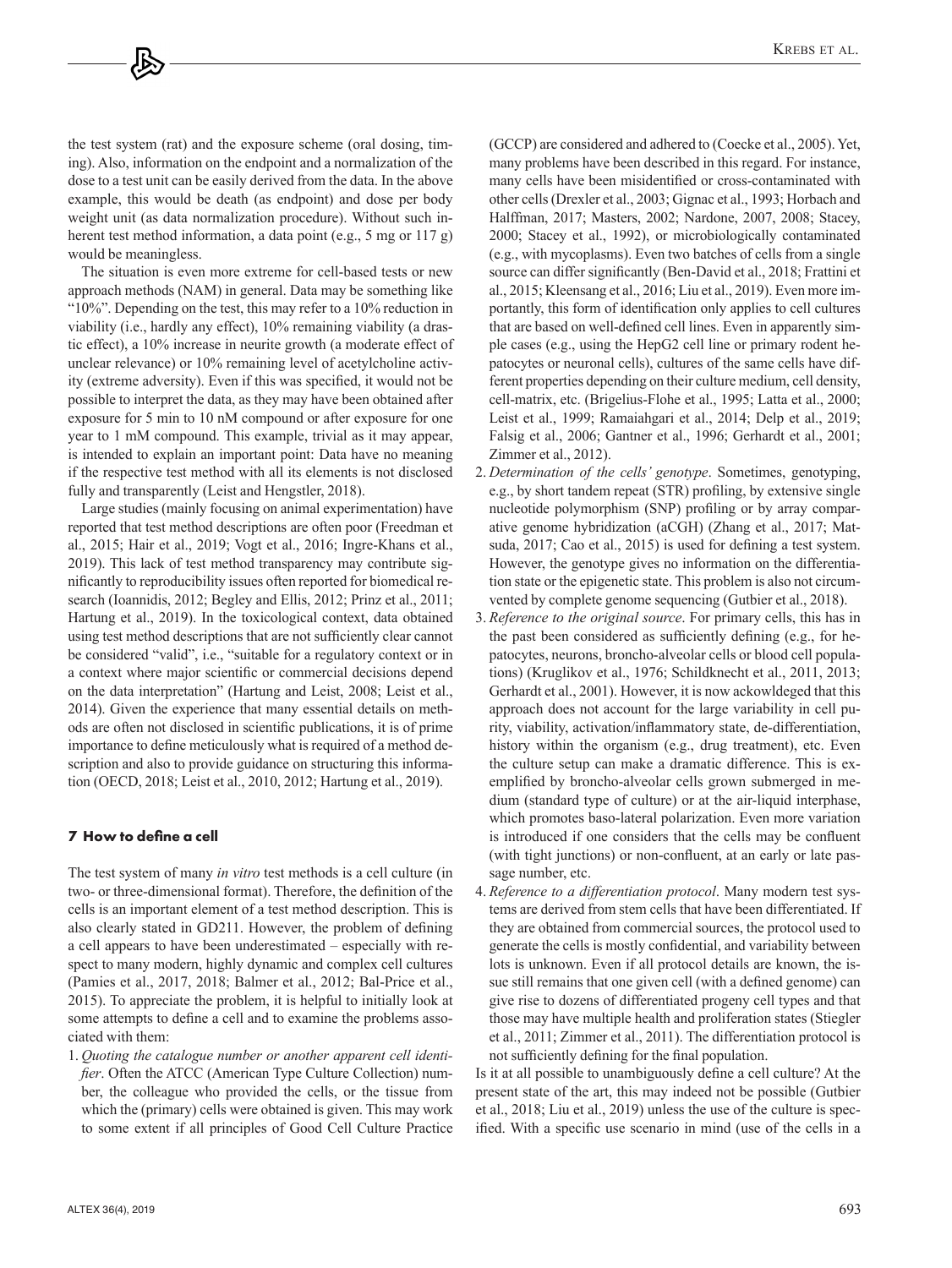the test system (rat) and the exposure scheme (oral dosing, timing). Also, information on the endpoint and a normalization of the dose to a test unit can be easily derived from the data. In the above example, this would be death (as endpoint) and dose per body weight unit (as data normalization procedure). Without such inherent test method information, a data point (e.g., 5 mg or 117 g) would be meaningless.

The situation is even more extreme for cell-based tests or new approach methods (NAM) in general. Data may be something like "10%". Depending on the test, this may refer to a 10% reduction in viability (i.e., hardly any effect), 10% remaining viability (a drastic effect), a 10% increase in neurite growth (a moderate effect of unclear relevance) or 10% remaining level of acetylcholine activity (extreme adversity). Even if this was specified, it would not be possible to interpret the data, as they may have been obtained after exposure for 5 min to 10 nM compound or after exposure for one year to 1 mM compound. This example, trivial as it may appear, is intended to explain an important point: Data have no meaning if the respective test method with all its elements is not disclosed fully and transparently (Leist and Hengstler, 2018).

Large studies (mainly focusing on animal experimentation) have reported that test method descriptions are often poor (Freedman et al., 2015; Hair et al., 2019; Vogt et al., 2016; Ingre-Khans et al., 2019). This lack of test method transparency may contribute significantly to reproducibility issues often reported for biomedical research (Ioannidis, 2012; Begley and Ellis, 2012; Prinz et al., 2011; Hartung et al., 2019). In the toxicological context, data obtained using test method descriptions that are not sufficiently clear cannot be considered "valid", i.e., "suitable for a regulatory context or in a context where major scientific or commercial decisions depend on the data interpretation" (Hartung and Leist, 2008; Leist et al., 2014). Given the experience that many essential details on methods are often not disclosed in scientific publications, it is of prime importance to define meticulously what is required of a method description and also to provide guidance on structuring this information (OECD, 2018; Leist et al., 2010, 2012; Hartung et al., 2019).

# **7 How to define a cell**

The test system of many *in vitro* test methods is a cell culture (in two- or three-dimensional format). Therefore, the definition of the cells is an important element of a test method description. This is also clearly stated in GD211. However, the problem of defining a cell appears to have been underestimated – especially with respect to many modern, highly dynamic and complex cell cultures (Pamies et al., 2017, 2018; Balmer et al., 2012; Bal-Price et al., 2015). To appreciate the problem, it is helpful to initially look at some attempts to define a cell and to examine the problems associated with them:

1. *Quoting the catalogue number or another apparent cell identifier*. Often the ATCC (American Type Culture Collection) number, the colleague who provided the cells, or the tissue from which the (primary) cells were obtained is given. This may work to some extent if all principles of Good Cell Culture Practice (GCCP) are considered and adhered to (Coecke et al., 2005). Yet, many problems have been described in this regard. For instance, many cells have been misidentified or cross-contaminated with other cells (Drexler et al., 2003; Gignac et al., 1993; Horbach and Halffman, 2017; Masters, 2002; Nardone, 2007, 2008; Stacey, 2000; Stacey et al., 1992), or microbiologically contaminated (e.g., with mycoplasms). Even two batches of cells from a single source can differ significantly (Ben-David et al., 2018; Frattini et al., 2015; Kleensang et al., 2016; Liu et al., 2019). Even more importantly, this form of identification only applies to cell cultures that are based on well-defined cell lines. Even in apparently simple cases (e.g., using the HepG2 cell line or primary rodent hepatocytes or neuronal cells), cultures of the same cells have different properties depending on their culture medium, cell density, cell-matrix, etc. (Brigelius-Flohe et al., 1995; Latta et al., 2000; Leist et al., 1999; Ramaiahgari et al., 2014; Delp et al., 2019; Falsig et al., 2006; Gantner et al., 1996; Gerhardt et al., 2001; Zimmer et al., 2012).

- 2. *Determination of the cells' genotype*. Sometimes, genotyping, e.g., by short tandem repeat (STR) profiling, by extensive single nucleotide polymorphism (SNP) profiling or by array comparative genome hybridization (aCGH) (Zhang et al., 2017; Matsuda, 2017; Cao et al., 2015) is used for defining a test system. However, the genotype gives no information on the differentiation state or the epigenetic state. This problem is also not circumvented by complete genome sequencing (Gutbier et al., 2018).
- 3. *Reference to the original source*. For primary cells, this has in the past been considered as sufficiently defining (e.g., for hepatocytes, neurons, broncho-alveolar cells or blood cell populations) (Kruglikov et al., 1976; Schildknecht et al., 2011, 2013; Gerhardt et al., 2001). However, it is now ackowldeged that this approach does not account for the large variability in cell purity, viability, activation/inflammatory state, de-differentiation, history within the organism (e.g., drug treatment), etc. Even the culture setup can make a dramatic difference. This is exemplified by broncho-alveolar cells grown submerged in medium (standard type of culture) or at the air-liquid interphase, which promotes baso-lateral polarization. Even more variation is introduced if one considers that the cells may be confluent (with tight junctions) or non-confluent, at an early or late passage number, etc.
- 4. *Reference to a differentiation protocol*. Many modern test systems are derived from stem cells that have been differentiated. If they are obtained from commercial sources, the protocol used to generate the cells is mostly confidential, and variability between lots is unknown. Even if all protocol details are known, the issue still remains that one given cell (with a defined genome) can give rise to dozens of differentiated progeny cell types and that those may have multiple health and proliferation states (Stiegler et al., 2011; Zimmer et al., 2011). The differentiation protocol is not sufficiently defining for the final population.

Is it at all possible to unambiguously define a cell culture? At the present state of the art, this may indeed not be possible (Gutbier et al., 2018; Liu et al., 2019) unless the use of the culture is specified. With a specific use scenario in mind (use of the cells in a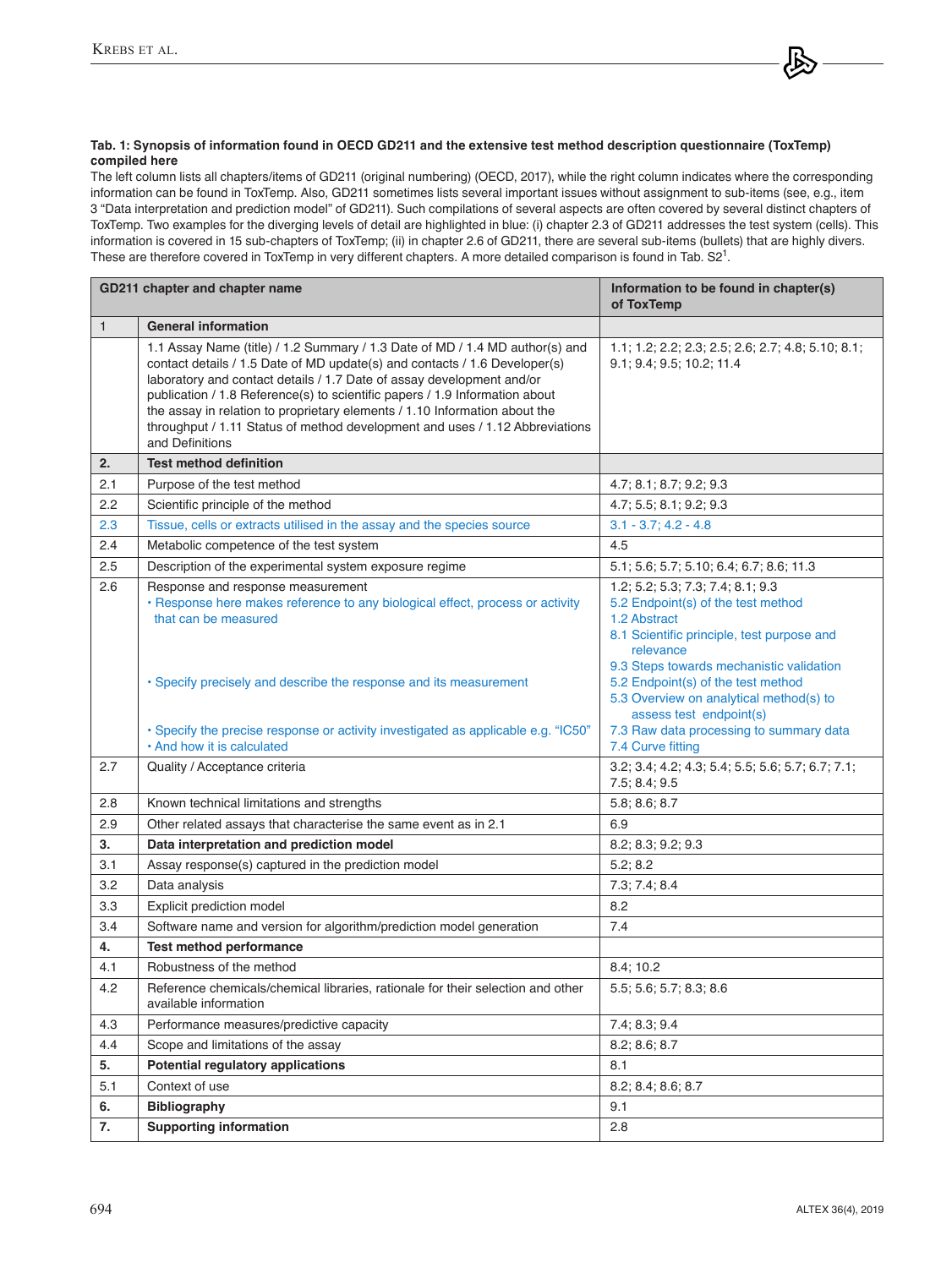# **Tab. 1: Synopsis of information found in OECD GD211 and the extensive test method description questionnaire (ToxTemp) compiled here**

The left column lists all chapters/items of GD211 (original numbering) (OECD, 2017), while the right column indicates where the corresponding information can be found in ToxTemp. Also, GD211 sometimes lists several important issues without assignment to sub-items (see, e.g., item 3 "Data interpretation and prediction model" of GD211). Such compilations of several aspects are often covered by several distinct chapters of ToxTemp. Two examples for the diverging levels of detail are highlighted in blue: (i) chapter 2.3 of GD211 addresses the test system (cells). This information is covered in 15 sub-chapters of ToxTemp; (ii) in chapter 2.6 of GD211, there are several sub-items (bullets) that are highly divers. These are therefore covered in ToxTemp in very different chapters. A more detailed comparison is found in Tab. S21.

| GD211 chapter and chapter name |                                                                                                                                                                                                                                                                                                                                                                                                                                                                                                     | Information to be found in chapter(s)<br>of ToxTemp                                                                                                  |
|--------------------------------|-----------------------------------------------------------------------------------------------------------------------------------------------------------------------------------------------------------------------------------------------------------------------------------------------------------------------------------------------------------------------------------------------------------------------------------------------------------------------------------------------------|------------------------------------------------------------------------------------------------------------------------------------------------------|
| $\mathbf{1}$                   | <b>General information</b>                                                                                                                                                                                                                                                                                                                                                                                                                                                                          |                                                                                                                                                      |
|                                | 1.1 Assay Name (title) / 1.2 Summary / 1.3 Date of MD / 1.4 MD author(s) and<br>contact details / 1.5 Date of MD update(s) and contacts / 1.6 Developer(s)<br>laboratory and contact details / 1.7 Date of assay development and/or<br>publication / 1.8 Reference(s) to scientific papers / 1.9 Information about<br>the assay in relation to proprietary elements / 1.10 Information about the<br>throughput / 1.11 Status of method development and uses / 1.12 Abbreviations<br>and Definitions | 1.1; 1.2; 2.2; 2.3; 2.5; 2.6; 2.7; 4.8; 5.10; 8.1;<br>9.1; 9.4; 9.5; 10.2; 11.4                                                                      |
| 2.                             | <b>Test method definition</b>                                                                                                                                                                                                                                                                                                                                                                                                                                                                       |                                                                                                                                                      |
| 2.1                            | Purpose of the test method                                                                                                                                                                                                                                                                                                                                                                                                                                                                          | 4.7; 8.1; 8.7; 9.2; 9.3                                                                                                                              |
| 2.2                            | Scientific principle of the method                                                                                                                                                                                                                                                                                                                                                                                                                                                                  | 4.7:5.5:8.1:9.2:9.3                                                                                                                                  |
| 2.3                            | Tissue, cells or extracts utilised in the assay and the species source                                                                                                                                                                                                                                                                                                                                                                                                                              | $3.1 - 3.7$ ; $4.2 - 4.8$                                                                                                                            |
| 2.4                            | Metabolic competence of the test system                                                                                                                                                                                                                                                                                                                                                                                                                                                             | 4.5                                                                                                                                                  |
| 2.5                            | Description of the experimental system exposure regime                                                                                                                                                                                                                                                                                                                                                                                                                                              | 5.1; 5.6; 5.7; 5.10; 6.4; 6.7; 8.6; 11.3                                                                                                             |
| 2.6                            | Response and response measurement<br>· Response here makes reference to any biological effect, process or activity<br>that can be measured                                                                                                                                                                                                                                                                                                                                                          | 1.2; 5.2; 5.3; 7.3; 7.4; 8.1; 9.3<br>5.2 Endpoint(s) of the test method<br>1.2 Abstract<br>8.1 Scientific principle, test purpose and<br>relevance   |
|                                | • Specify precisely and describe the response and its measurement                                                                                                                                                                                                                                                                                                                                                                                                                                   | 9.3 Steps towards mechanistic validation<br>5.2 Endpoint(s) of the test method<br>5.3 Overview on analytical method(s) to<br>assess test endpoint(s) |
|                                | • Specify the precise response or activity investigated as applicable e.g. "IC50"<br>. And how it is calculated                                                                                                                                                                                                                                                                                                                                                                                     | 7.3 Raw data processing to summary data<br>7.4 Curve fitting                                                                                         |
| 2.7                            | Quality / Acceptance criteria                                                                                                                                                                                                                                                                                                                                                                                                                                                                       | 3.2; 3.4; 4.2; 4.3; 5.4; 5.5; 5.6; 5.7; 6.7; 7.1;<br>7.5; 8.4; 9.5                                                                                   |
| 2.8                            | Known technical limitations and strengths                                                                                                                                                                                                                                                                                                                                                                                                                                                           | 5.8; 8.6; 8.7                                                                                                                                        |
| 2.9                            | Other related assays that characterise the same event as in 2.1                                                                                                                                                                                                                                                                                                                                                                                                                                     | 6.9                                                                                                                                                  |
| 3.                             | Data interpretation and prediction model                                                                                                                                                                                                                                                                                                                                                                                                                                                            | 8.2; 8.3; 9.2; 9.3                                                                                                                                   |
| 3.1                            | Assay response(s) captured in the prediction model                                                                                                                                                                                                                                                                                                                                                                                                                                                  | 5.2; 8.2                                                                                                                                             |
| 3.2                            | Data analysis                                                                                                                                                                                                                                                                                                                                                                                                                                                                                       | 7.3; 7.4; 8.4                                                                                                                                        |
| 3.3                            | Explicit prediction model                                                                                                                                                                                                                                                                                                                                                                                                                                                                           | 8.2                                                                                                                                                  |
| 3.4                            | Software name and version for algorithm/prediction model generation                                                                                                                                                                                                                                                                                                                                                                                                                                 | 7.4                                                                                                                                                  |
| 4.                             | Test method performance                                                                                                                                                                                                                                                                                                                                                                                                                                                                             |                                                                                                                                                      |
| 4.1                            | Robustness of the method                                                                                                                                                                                                                                                                                                                                                                                                                                                                            | 8.4; 10.2                                                                                                                                            |
| 4.2                            | Reference chemicals/chemical libraries, rationale for their selection and other<br>available information                                                                                                                                                                                                                                                                                                                                                                                            | 5.5; 5.6; 5.7; 8.3; 8.6                                                                                                                              |
| 4.3                            | Performance measures/predictive capacity                                                                                                                                                                                                                                                                                                                                                                                                                                                            | 7.4; 8.3; 9.4                                                                                                                                        |
| 4.4                            | Scope and limitations of the assay                                                                                                                                                                                                                                                                                                                                                                                                                                                                  | 8.2; 8.6; 8.7                                                                                                                                        |
| 5.                             | Potential regulatory applications                                                                                                                                                                                                                                                                                                                                                                                                                                                                   | 8.1                                                                                                                                                  |
| 5.1                            | Context of use                                                                                                                                                                                                                                                                                                                                                                                                                                                                                      | 8.2; 8.4; 8.6; 8.7                                                                                                                                   |
| 6.                             | <b>Bibliography</b>                                                                                                                                                                                                                                                                                                                                                                                                                                                                                 | 9.1                                                                                                                                                  |
| 7.                             | <b>Supporting information</b>                                                                                                                                                                                                                                                                                                                                                                                                                                                                       | 2.8                                                                                                                                                  |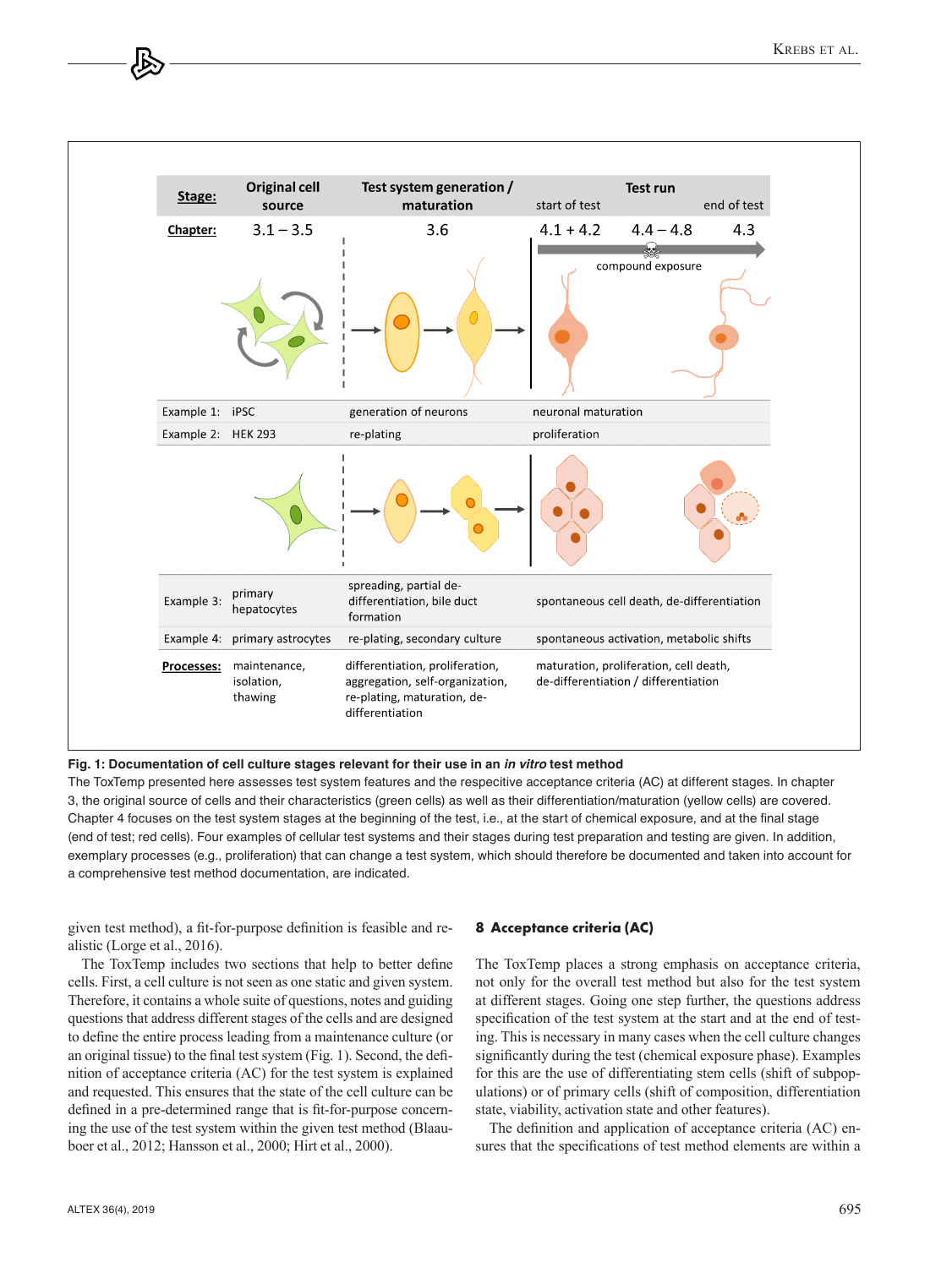

**Fig. 1: Documentation of cell culture stages relevant for their use in an** *in vitro* **test method** 

The ToxTemp presented here assesses test system features and the respecitive acceptance criteria (AC) at different stages. In chapter 3, the original source of cells and their characteristics (green cells) as well as their differentiation/maturation (yellow cells) are covered. Chapter 4 focuses on the test system stages at the beginning of the test, i.e., at the start of chemical exposure, and at the final stage (end of test; red cells). Four examples of cellular test systems and their stages during test preparation and testing are given. In addition, exemplary processes (e.g., proliferation) that can change a test system, which should therefore be documented and taken into account for a comprehensive test method documentation, are indicated.

given test method), a fit-for-purpose definition is feasible and realistic (Lorge et al., 2016).

The ToxTemp includes two sections that help to better define cells. First, a cell culture is not seen as one static and given system. Therefore, it contains a whole suite of questions, notes and guiding questions that address different stages of the cells and are designed to define the entire process leading from a maintenance culture (or an original tissue) to the final test system (Fig. 1). Second, the definition of acceptance criteria (AC) for the test system is explained and requested. This ensures that the state of the cell culture can be defined in a pre-determined range that is fit-for-purpose concerning the use of the test system within the given test method (Blaauboer et al., 2012; Hansson et al., 2000; Hirt et al., 2000).

#### **8 Acceptance criteria (AC)**

The ToxTemp places a strong emphasis on acceptance criteria, not only for the overall test method but also for the test system at different stages. Going one step further, the questions address specification of the test system at the start and at the end of testing. This is necessary in many cases when the cell culture changes significantly during the test (chemical exposure phase). Examples for this are the use of differentiating stem cells (shift of subpopulations) or of primary cells (shift of composition, differentiation state, viability, activation state and other features).

The definition and application of acceptance criteria (AC) ensures that the specifications of test method elements are within a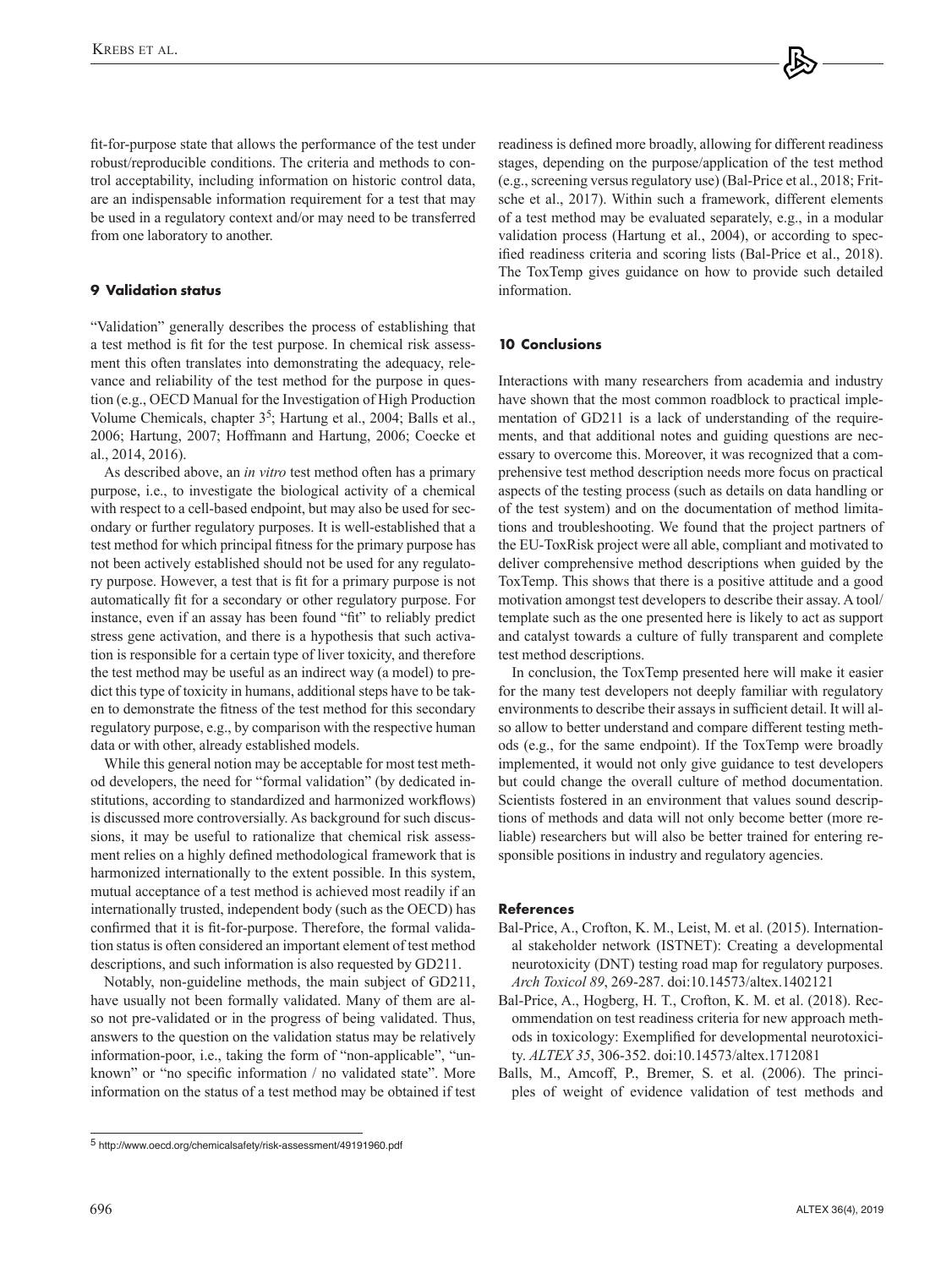fit-for-purpose state that allows the performance of the test under robust/reproducible conditions. The criteria and methods to control acceptability, including information on historic control data, are an indispensable information requirement for a test that may be used in a regulatory context and/or may need to be transferred from one laboratory to another.

# **9 Validation status**

"Validation" generally describes the process of establishing that a test method is fit for the test purpose. In chemical risk assessment this often translates into demonstrating the adequacy, relevance and reliability of the test method for the purpose in question (e.g., OECD Manual for the Investigation of High Production Volume Chemicals, chapter  $3^5$ ; Hartung et al., 2004; Balls et al., 2006; Hartung, 2007; Hoffmann and Hartung, 2006; Coecke et al., 2014, 2016).

As described above, an *in vitro* test method often has a primary purpose, i.e., to investigate the biological activity of a chemical with respect to a cell-based endpoint, but may also be used for secondary or further regulatory purposes. It is well-established that a test method for which principal fitness for the primary purpose has not been actively established should not be used for any regulatory purpose. However, a test that is fit for a primary purpose is not automatically fit for a secondary or other regulatory purpose. For instance, even if an assay has been found "fit" to reliably predict stress gene activation, and there is a hypothesis that such activation is responsible for a certain type of liver toxicity, and therefore the test method may be useful as an indirect way (a model) to predict this type of toxicity in humans, additional steps have to be taken to demonstrate the fitness of the test method for this secondary regulatory purpose, e.g., by comparison with the respective human data or with other, already established models.

While this general notion may be acceptable for most test method developers, the need for "formal validation" (by dedicated institutions, according to standardized and harmonized workflows) is discussed more controversially. As background for such discussions, it may be useful to rationalize that chemical risk assessment relies on a highly defined methodological framework that is harmonized internationally to the extent possible. In this system, mutual acceptance of a test method is achieved most readily if an internationally trusted, independent body (such as the OECD) has confirmed that it is fit-for-purpose. Therefore, the formal validation status is often considered an important element of test method descriptions, and such information is also requested by GD211.

Notably, non-guideline methods, the main subject of GD211, have usually not been formally validated. Many of them are also not pre-validated or in the progress of being validated. Thus, answers to the question on the validation status may be relatively information-poor, i.e., taking the form of "non-applicable", "unknown" or "no specific information / no validated state". More information on the status of a test method may be obtained if test

readiness is defined more broadly, allowing for different readiness stages, depending on the purpose/application of the test method (e.g., screening versus regulatory use) (Bal-Price et al., 2018; Fritsche et al., 2017). Within such a framework, different elements of a test method may be evaluated separately, e.g., in a modular validation process (Hartung et al., 2004), or according to specified readiness criteria and scoring lists (Bal-Price et al., 2018). The ToxTemp gives guidance on how to provide such detailed information.

# **10 Conclusions**

Interactions with many researchers from academia and industry have shown that the most common roadblock to practical implementation of GD211 is a lack of understanding of the requirements, and that additional notes and guiding questions are necessary to overcome this. Moreover, it was recognized that a comprehensive test method description needs more focus on practical aspects of the testing process (such as details on data handling or of the test system) and on the documentation of method limitations and troubleshooting. We found that the project partners of the EU-ToxRisk project were all able, compliant and motivated to deliver comprehensive method descriptions when guided by the ToxTemp. This shows that there is a positive attitude and a good motivation amongst test developers to describe their assay. A tool/ template such as the one presented here is likely to act as support and catalyst towards a culture of fully transparent and complete test method descriptions.

In conclusion, the ToxTemp presented here will make it easier for the many test developers not deeply familiar with regulatory environments to describe their assays in sufficient detail. It will also allow to better understand and compare different testing methods (e.g., for the same endpoint). If the ToxTemp were broadly implemented, it would not only give guidance to test developers but could change the overall culture of method documentation. Scientists fostered in an environment that values sound descriptions of methods and data will not only become better (more reliable) researchers but will also be better trained for entering responsible positions in industry and regulatory agencies.

# **References**

- Bal-Price, A., Crofton, K. M., Leist, M. et al. (2015). International stakeholder network (ISTNET): Creating a developmental neurotoxicity (DNT) testing road map for regulatory purposes. *Arch Toxicol 89*, 269-287. [doi:10.14573/altex.1402121](https://doi.org/10.14573/altex.1402121)
- Bal-Price, A., Hogberg, H. T., Crofton, K. M. et al. (2018). Recommendation on test readiness criteria for new approach methods in toxicology: Exemplified for developmental neurotoxicity. *ALTEX 35*, 306-352. [doi:10.14573/altex.1712081](https://doi.org/10.14573/altex.1712081)
- Balls, M., Amcoff, P., Bremer, S. et al. (2006). The principles of weight of evidence validation of test methods and

<sup>5</sup> <http://www.oecd.org/chemicalsafety/risk-assessment/49191960.pdf>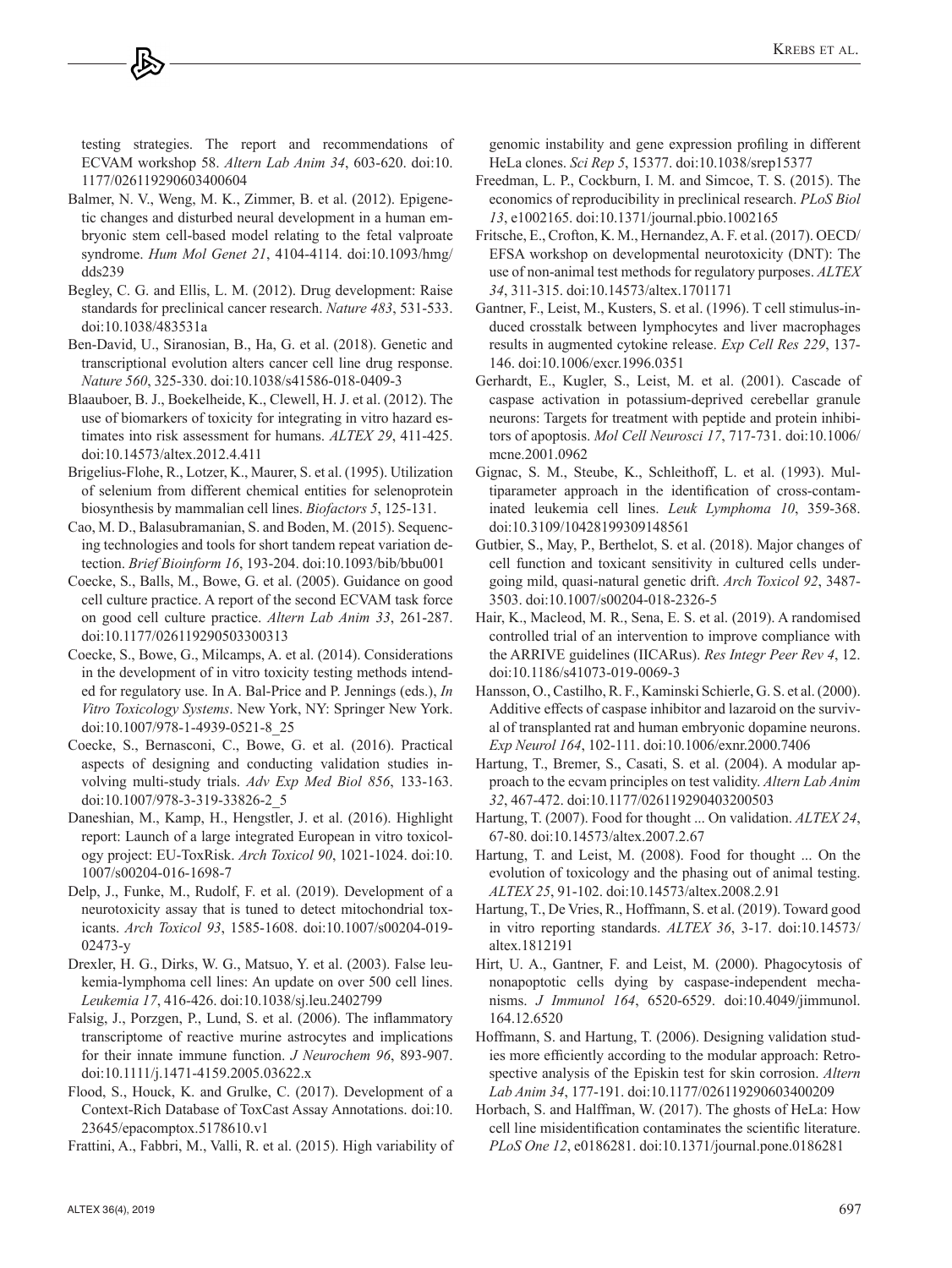testing strategies. The report and recommendations of ECVAM workshop 58. *Altern Lab Anim 34*, 603-620. [doi:10.](https://doi.org/10.1177/026119290603400604) [1177/026119290603400604](https://doi.org/10.1177/026119290603400604)

- Balmer, N. V., Weng, M. K., Zimmer, B. et al. (2012). Epigenetic changes and disturbed neural development in a human embryonic stem cell-based model relating to the fetal valproate syndrome. *Hum Mol Genet 21*, 4104-4114. [doi:10.1093/hmg/](https://doi.org/10.1093/hmg/dds239) [dds239](https://doi.org/10.1093/hmg/dds239)
- Begley, C. G. and Ellis, L. M. (2012). Drug development: Raise standards for preclinical cancer research. *Nature 483*, 531-533. [doi:10.1038/483531a](https://doi.org/10.1038/483531a)
- Ben-David, U., Siranosian, B., Ha, G. et al. (2018). Genetic and transcriptional evolution alters cancer cell line drug response. *Nature 560*, 325-330. [doi:10.1038/s41586-018-0409-3](https://doi.org/10.1038/s41586-018-0409-3)
- Blaauboer, B. J., Boekelheide, K., Clewell, H. J. et al. (2012). The use of biomarkers of toxicity for integrating in vitro hazard estimates into risk assessment for humans. *ALTEX 29*, 411-425. [doi:10.14573/altex.2012.4.411](https://doi.org/10.14573/altex.2012.4.411)
- Brigelius-Flohe, R., Lotzer, K., Maurer, S. et al. (1995). Utilization of selenium from different chemical entities for selenoprotein biosynthesis by mammalian cell lines. *Biofactors 5*, 125-131.
- Cao, M. D., Balasubramanian, S. and Boden, M. (2015). Sequencing technologies and tools for short tandem repeat variation detection. *Brief Bioinform 16*, 193-204. [doi:10.1093/bib/bbu001](https://doi.org/10.1093/bib/bbu001)
- Coecke, S., Balls, M., Bowe, G. et al. (2005). Guidance on good cell culture practice. A report of the second ECVAM task force on good cell culture practice. *Altern Lab Anim 33*, 261-287. [doi:10.1177/026119290503300313](https://doi.org/10.1177/026119290503300313)
- Coecke, S., Bowe, G., Milcamps, A. et al. (2014). Considerations in the development of in vitro toxicity testing methods intended for regulatory use. In A. Bal-Price and P. Jennings (eds.), *In Vitro Toxicology Systems*. New York, NY: Springer New York. [doi:10.1007/978-1-4939-0521-8\\_25](https://doi.org/10.1007/978-1-4939-0521-8_25)
- Coecke, S., Bernasconi, C., Bowe, G. et al. (2016). Practical aspects of designing and conducting validation studies involving multi-study trials. *Adv Exp Med Biol 856*, 133-163. [doi:10.1007/978-3-319-33826-2\\_5](https://doi.org/10.1007/978-3-319-33826-2_5)
- Daneshian, M., Kamp, H., Hengstler, J. et al. (2016). Highlight report: Launch of a large integrated European in vitro toxicology project: EU-ToxRisk. *Arch Toxicol 90*, 1021-1024. [doi:10.](https://doi.org/10.1007/s00204-016-1698-7) [1007/s00204-016-1698-7](https://doi.org/10.1007/s00204-016-1698-7)
- Delp, J., Funke, M., Rudolf, F. et al. (2019). Development of a neurotoxicity assay that is tuned to detect mitochondrial toxicants. *Arch Toxicol 93*, 1585-1608. [doi:10.1007/s00204-019-](https://doi.org/10.1007/s00204-019-02473-y) [02473-y](https://doi.org/10.1007/s00204-019-02473-y)
- Drexler, H. G., Dirks, W. G., Matsuo, Y. et al. (2003). False leukemia-lymphoma cell lines: An update on over 500 cell lines. *Leukemia 17*, 416-426. [doi:10.1038/sj.leu.2402799](https://doi.org/10.1038/sj.leu.2402799)
- Falsig, J., Porzgen, P., Lund, S. et al. (2006). The inflammatory transcriptome of reactive murine astrocytes and implications for their innate immune function. *J Neurochem 96*, 893-907. [doi:10.1111/j.1471-4159.2005.03622.x](https://doi.org/10.1111/j.1471-4159.2005.03622.x)
- Flood, S., Houck, K. and Grulke, C. (2017). Development of a Context-Rich Database of ToxCast Assay Annotations. [doi:10.](doi:10.23645/epacomptox.5178610.v1) [23645/epacomptox.5178610.v1](doi:10.23645/epacomptox.5178610.v1)

Frattini, A., Fabbri, M., Valli, R. et al. (2015). High variability of

genomic instability and gene expression profiling in different HeLa clones. *Sci Rep 5*, 15377. [doi:10.1038/srep15377](https://doi.org/10.1038/srep15377)

- Freedman, L. P., Cockburn, I. M. and Simcoe, T. S. (2015). The economics of reproducibility in preclinical research. *PLoS Biol 13*, e1002165. [doi:10.1371/journal.pbio.1002165](https://doi.org/10.1371/journal.pbio.1002165)
- Fritsche, E., Crofton, K. M., Hernandez, A. F. et al. (2017). OECD/ EFSA workshop on developmental neurotoxicity (DNT): The use of non-animal test methods for regulatory purposes. *ALTEX 34*, 311-315. [doi:10.14573/altex.1701171](https://doi.org/10.14573/altex.1701171)
- Gantner, F., Leist, M., Kusters, S. et al. (1996). T cell stimulus-induced crosstalk between lymphocytes and liver macrophages results in augmented cytokine release. *Exp Cell Res 229*, 137- 146. [doi:10.1006/excr.1996.0351](https://doi.org/10.1006/excr.1996.0351)
- Gerhardt, E., Kugler, S., Leist, M. et al. (2001). Cascade of caspase activation in potassium-deprived cerebellar granule neurons: Targets for treatment with peptide and protein inhibitors of apoptosis. *Mol Cell Neurosci 17*, 717-731. [doi:10.1006/](https://doi.org/10.1006/mcne.2001.0962) [mcne.2001.0962](https://doi.org/10.1006/mcne.2001.0962)
- Gignac, S. M., Steube, K., Schleithoff, L. et al. (1993). Multiparameter approach in the identification of cross-contaminated leukemia cell lines. *Leuk Lymphoma 10*, 359-368. [doi:10.3109/10428199309148561](https://doi.org/10.3109/10428199309148561)
- Gutbier, S., May, P., Berthelot, S. et al. (2018). Major changes of cell function and toxicant sensitivity in cultured cells undergoing mild, quasi-natural genetic drift. *Arch Toxicol 92*, 3487- 3503. [doi:10.1007/s00204-018-2326-5](https://doi.org/10.1007/s00204-018-2326-5)
- Hair, K., Macleod, M. R., Sena, E. S. et al. (2019). A randomised controlled trial of an intervention to improve compliance with the ARRIVE guidelines (IICARus). *Res Integr Peer Rev 4*, 12. [doi:10.1186/s41073-019-0069-3](https://doi.org/10.1186/s41073-019-0069-3)
- Hansson, O., Castilho, R. F., Kaminski Schierle, G. S. et al. (2000). Additive effects of caspase inhibitor and lazaroid on the survival of transplanted rat and human embryonic dopamine neurons. *Exp Neurol 164*, 102-111. [doi:10.1006/exnr.2000.7406](https://doi.org/10.1006/exnr.2000.7406)
- Hartung, T., Bremer, S., Casati, S. et al. (2004). A modular approach to the ecvam principles on test validity. *Altern Lab Anim 32*, 467-472. [doi:10.1177/026119290403200503](https://doi.org/10.1177/026119290403200503)
- Hartung, T. (2007). Food for thought ... On validation. *ALTEX 24*, 67-80. [doi:10.14573/altex.2007.2.67](https://doi.org/10.14573/altex.2007.2.67)
- Hartung, T. and Leist, M. (2008). Food for thought ... On the evolution of toxicology and the phasing out of animal testing. *ALTEX 25*, 91-102. [doi:10.14573/altex.2008.2.91](https://doi.org/10.14573/altex.2008.2.91)
- Hartung, T., De Vries, R., Hoffmann, S. et al. (2019). Toward good in vitro reporting standards. *ALTEX 36*, 3-17. [doi:10.14573/](https://doi.org/10.14573/altex.1812191) [altex.1812191](https://doi.org/10.14573/altex.1812191)
- Hirt, U. A., Gantner, F. and Leist, M. (2000). Phagocytosis of nonapoptotic cells dying by caspase-independent mechanisms. *J Immunol 164*, 6520-6529. [doi:10.4049/jimmunol.](https://doi.org/10.4049/jimmunol.164.12.6520) [164.12.6520](https://doi.org/10.4049/jimmunol.164.12.6520)
- Hoffmann, S. and Hartung, T. (2006). Designing validation studies more efficiently according to the modular approach: Retrospective analysis of the Episkin test for skin corrosion. *Altern Lab Anim 34*, 177-191. [doi:10.1177/026119290603400209](https://doi.org/10.1177/026119290603400209)
- Horbach, S. and Halffman, W. (2017). The ghosts of HeLa: How cell line misidentification contaminates the scientific literature. *PLoS One 12*, e0186281. [doi:10.1371/journal.pone.0186281](https://doi.org/10.1371/journal.pone.0186281)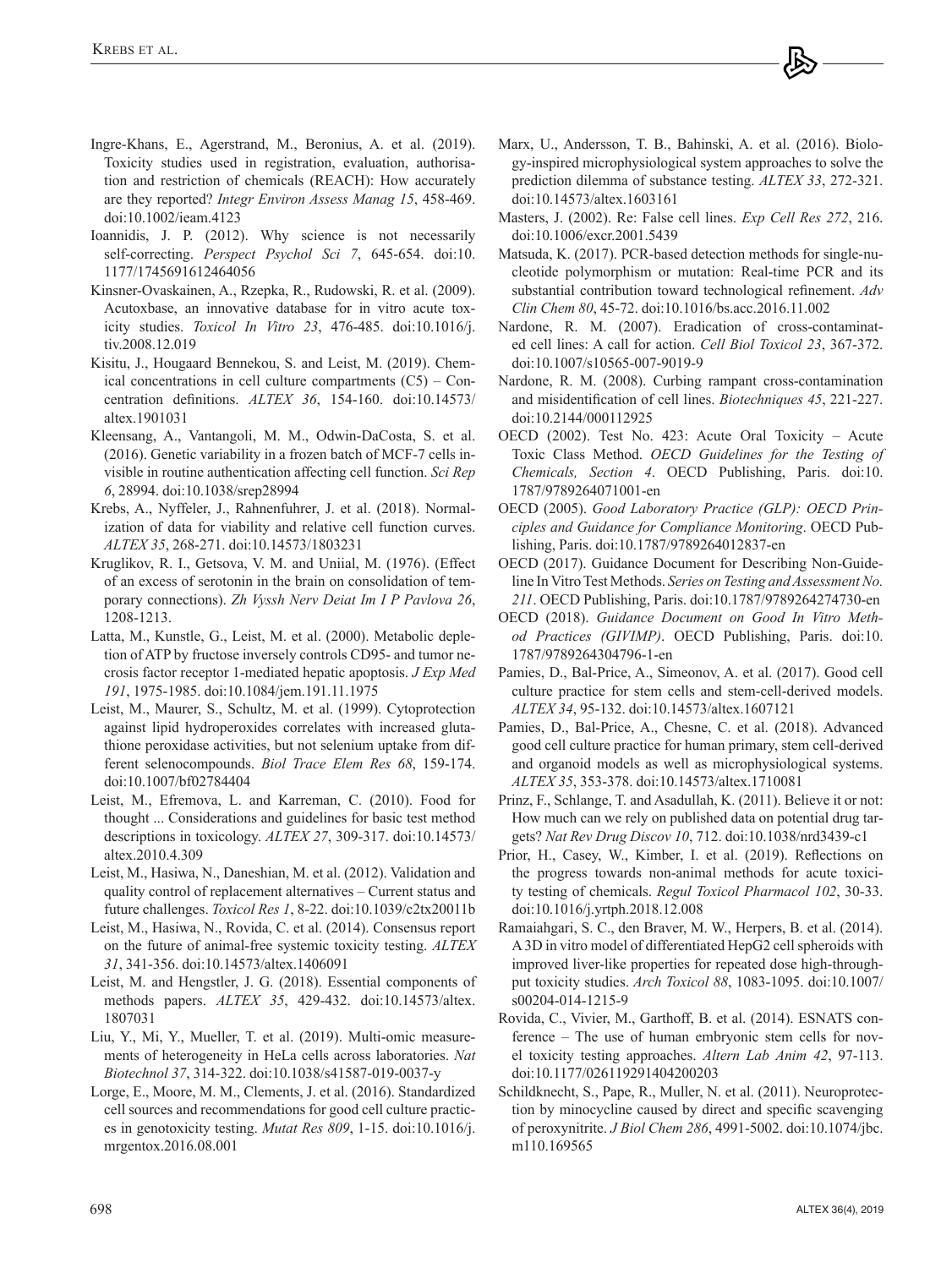- Ingre-Khans, E., Agerstrand, M., Beronius, A. et al. (2019). Toxicity studies used in registration, evaluation, authorisation and restriction of chemicals (REACH): How accurately are they reported? *Integr Environ Assess Manag 15*, 458-469. [doi:10.1002/ieam.4123](https://doi.org/10.1002/ieam.4123)
- Ioannidis, J. P. (2012). Why science is not necessarily self-correcting. *Perspect Psychol Sci 7*, 645-654. [doi:10.](https://doi.org/10.1177/1745691612464056) [1177/1745691612464056](https://doi.org/10.1177/1745691612464056)
- Kinsner-Ovaskainen, A., Rzepka, R., Rudowski, R. et al. (2009). Acutoxbase, an innovative database for in vitro acute toxicity studies. *Toxicol In Vitro 23*, 476-485. [doi:10.1016/j.](https://doi.org/10.1016/j.tiv.2008.12.019) [tiv.2008.12.019](https://doi.org/10.1016/j.tiv.2008.12.019)
- Kisitu, J., Hougaard Bennekou, S. and Leist, M. (2019). Chemical concentrations in cell culture compartments (C5) – Concentration definitions. *ALTEX 36*, 154-160. [doi:10.14573/](https://doi.org/10.14573/altex.1901031) [altex.1901031](https://doi.org/10.14573/altex.1901031)
- Kleensang, A., Vantangoli, M. M., Odwin-DaCosta, S. et al. (2016). Genetic variability in a frozen batch of MCF-7 cells invisible in routine authentication affecting cell function. *Sci Rep 6*, 28994. [doi:10.1038/srep28994](https://doi.org/10.1038/srep28994)
- Krebs, A., Nyffeler, J., Rahnenfuhrer, J. et al. (2018). Normalization of data for viability and relative cell function curves. *ALTEX 35*, 268-271. [doi:10.14573/1803231](https://doi.org/10.14573/1803231)
- Kruglikov, R. I., Getsova, V. M. and Uniial, M. (1976). (Effect of an excess of serotonin in the brain on consolidation of temporary connections). *Zh Vyssh Nerv Deiat Im I P Pavlova 26*, 1208-1213.
- Latta, M., Kunstle, G., Leist, M. et al. (2000). Metabolic depletion of ATP by fructose inversely controls CD95- and tumor necrosis factor receptor 1-mediated hepatic apoptosis. *J Exp Med 191*, 1975-1985. [doi:10.1084/jem.191.11.1975](https://doi.org/10.1084/jem.191.11.1975)
- Leist, M., Maurer, S., Schultz, M. et al. (1999). Cytoprotection against lipid hydroperoxides correlates with increased glutathione peroxidase activities, but not selenium uptake from different selenocompounds. *Biol Trace Elem Res 68*, 159-174. [doi:10.1007/bf02784404](https://doi.org/10.1007/bf02784404)
- Leist, M., Efremova, L. and Karreman, C. (2010). Food for thought ... Considerations and guidelines for basic test method descriptions in toxicology. *ALTEX 27*, 309-317. [doi:10.14573/](https://doi.org/10.14573/altex.2010.4.309) [altex.2010.4.309](https://doi.org/10.14573/altex.2010.4.309)
- Leist, M., Hasiwa, N., Daneshian, M. et al. (2012). Validation and quality control of replacement alternatives – Current status and future challenges. *Toxicol Res 1*, 8-22. [doi:10.1039/c2tx20011b](https://doi.org/10.1039/c2tx20011b)
- Leist, M., Hasiwa, N., Rovida, C. et al. (2014). Consensus report on the future of animal-free systemic toxicity testing. *ALTEX 31*, 341-356. [doi:10.14573/altex.1406091](https://doi.org/10.14573/altex.1406091)
- Leist, M. and Hengstler, J. G. (2018). Essential components of methods papers. *ALTEX 35*, 429-432. [doi:10.14573/altex.](https://doi.org/10.14573/altex.1807031) [1807031](https://doi.org/10.14573/altex.1807031)
- Liu, Y., Mi, Y., Mueller, T. et al. (2019). Multi-omic measurements of heterogeneity in HeLa cells across laboratories. *Nat Biotechnol 37*, 314-322. [doi:10.1038/s41587-019-0037-y](https://doi.org/10.1038/s41587-019-0037-y)
- Lorge, E., Moore, M. M., Clements, J. et al. (2016). Standardized cell sources and recommendations for good cell culture practices in genotoxicity testing. *Mutat Res 809*, 1-15. [doi:10.1016/j.](https://doi.org/10.1016/j.mrgentox.2016.08.001) [mrgentox.2016.08.001](https://doi.org/10.1016/j.mrgentox.2016.08.001)
- Marx, U., Andersson, T. B., Bahinski, A. et al. (2016). Biology-inspired microphysiological system approaches to solve the prediction dilemma of substance testing. *ALTEX 33*, 272-321. [doi:10.14573/altex.1603161](https://doi.org/10.14573/altex.1603161)
- Masters, J. (2002). Re: False cell lines. *Exp Cell Res 272*, 216. [doi:10.1006/excr.2001.5439](https://doi.org/10.1006/excr.2001.5439)
- Matsuda, K. (2017). PCR-based detection methods for single-nucleotide polymorphism or mutation: Real-time PCR and its substantial contribution toward technological refinement. *Adv Clin Chem 80*, 45-72. [doi:10.1016/bs.acc.2016.11.002](https://doi.org/10.1016/bs.acc.2016.11.002)
- Nardone, R. M. (2007). Eradication of cross-contaminated cell lines: A call for action. *Cell Biol Toxicol 23*, 367-372. [doi:10.1007/s10565-007-9019-9](https://doi.org/10.1007/s10565-007-9019-9)
- Nardone, R. M. (2008). Curbing rampant cross-contamination and misidentification of cell lines. *Biotechniques 45*, 221-227. [doi:10.2144/000112925](https://doi.org/10.2144/000112925)
- OECD (2002). Test No. 423: Acute Oral Toxicity Acute Toxic Class Method. *OECD Guidelines for the Testing of Chemicals, Section 4*. OECD Publishing, Paris. [doi:10.](https://doi.org/10.1787/9789264071001-en) [1787/9789264071001-en](https://doi.org/10.1787/9789264071001-en)
- OECD (2005). *Good Laboratory Practice (GLP): OECD Principles and Guidance for Compliance Monitoring*. OECD Publishing, Paris. [doi:10.1787/9789264012837-en](https://doi.org/10.1787/9789264012837-en)
- OECD (2017). Guidance Document for Describing Non-Guideline In Vitro Test Methods. *Series on Testing and Assessment No. 211*. OECD Publishing, Paris. [doi:10.1787/9789264274730-en](https://doi.org/10.1787/9789264274730-en)
- OECD (2018). *Guidance Document on Good In Vitro Method Practices (GIVIMP)*. OECD Publishing, Paris. [doi:10.](https://doi.org/10.1787/9789264304796-1-en) [1787/9789264304796-1-en](https://doi.org/10.1787/9789264304796-1-en)
- Pamies, D., Bal-Price, A., Simeonov, A. et al. (2017). Good cell culture practice for stem cells and stem-cell-derived models. *ALTEX 34*, 95-132. [doi:10.14573/altex.1607121](https://doi.org/10.14573/altex.1607121)
- Pamies, D., Bal-Price, A., Chesne, C. et al. (2018). Advanced good cell culture practice for human primary, stem cell-derived and organoid models as well as microphysiological systems. *ALTEX 35*, 353-378. [doi:10.14573/altex.1710081](https://doi.org/10.14573/altex.1710081)
- Prinz, F., Schlange, T. and Asadullah, K. (2011). Believe it or not: How much can we rely on published data on potential drug targets? *Nat Rev Drug Discov 10*, 712. [doi:10.1038/nrd3439-c1](https://doi.org/10.1038/nrd3439-c1)
- Prior, H., Casey, W., Kimber, I. et al. (2019). Reflections on the progress towards non-animal methods for acute toxicity testing of chemicals. *Regul Toxicol Pharmacol 102*, 30-33. [doi:10.1016/j.yrtph.2018.12.008](https://doi.org/10.1016/j.yrtph.2018.12.008)
- Ramaiahgari, S. C., den Braver, M. W., Herpers, B. et al. (2014). A 3D in vitro model of differentiated HepG2 cell spheroids with improved liver-like properties for repeated dose high-throughput toxicity studies. *Arch Toxicol 88*, 1083-1095. [doi:10.1007/](https://doi.org/10.1007/s00204-014-1215-9) [s00204-014-1215-9](https://doi.org/10.1007/s00204-014-1215-9)
- Rovida, C., Vivier, M., Garthoff, B. et al. (2014). ESNATS conference – The use of human embryonic stem cells for novel toxicity testing approaches. *Altern Lab Anim 42*, 97-113. [doi:10.1177/026119291404200203](https://doi.org/10.1177/026119291404200203)
- Schildknecht, S., Pape, R., Muller, N. et al. (2011). Neuroprotection by minocycline caused by direct and specific scavenging of peroxynitrite. *J Biol Chem 286*, 4991-5002. [doi:10.1074/jbc.](https://doi.org/10.1074/jbc.m110.169565) [m110.169565](https://doi.org/10.1074/jbc.m110.169565)